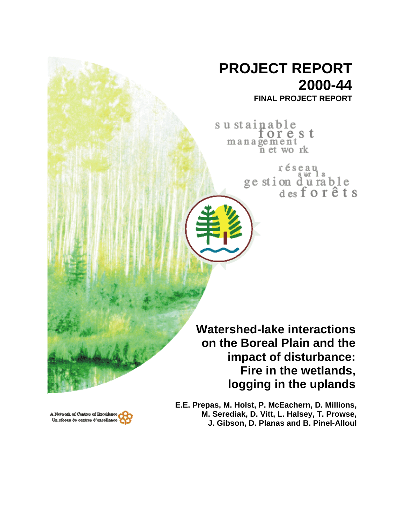## **PROJECT REPORT 2000-44**

**FINAL PROJECT REPORT**

sustainable torest management n et work

> réseau ge stion durable<br>desforêts

**Watershed-lake interactions on the Boreal Plain and the impact of disturbance: Fire in the wetlands, logging in the uplands**

A Network of Centres of Bacelien Un réseau de centres d'excellent **E.E. Prepas, M. Holst, P. McEachern, D. Millions, M. Serediak, D. Vitt, L. Halsey, T. Prowse, J. Gibson, D. Planas and B. Pinel-Alloul**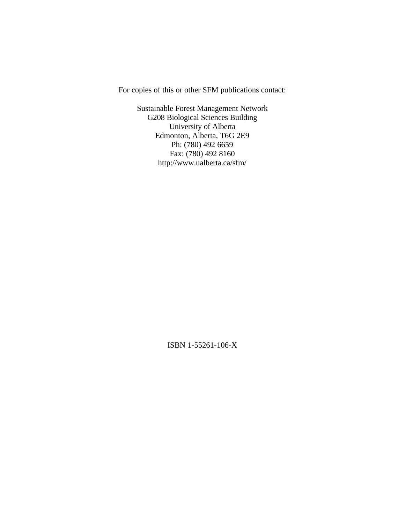For copies of this or other SFM publications contact:

Sustainable Forest Management Network G208 Biological Sciences Building University of Alberta Edmonton, Alberta, T6G 2E9 Ph: (780) 492 6659 Fax: (780) 492 8160 http://www.ualberta.ca/sfm/

ISBN 1-55261-106-X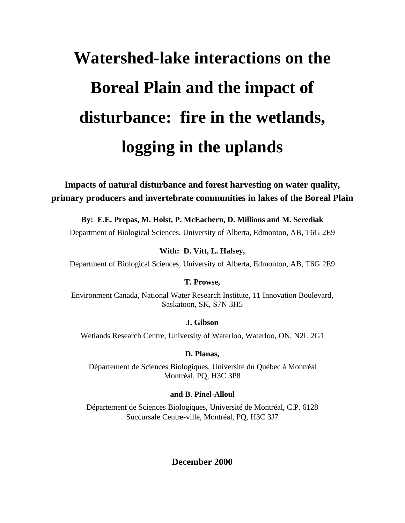# **Watershed-lake interactions on the Boreal Plain and the impact of disturbance: fire in the wetlands, logging in the uplands**

**Impacts of natural disturbance and forest harvesting on water quality, primary producers and invertebrate communities in lakes of the Boreal Plain**

**By: E.E. Prepas, M. Holst, P. McEachern, D. Millions and M. Serediak**

Department of Biological Sciences, University of Alberta, Edmonton, AB, T6G 2E9

**With: D. Vitt, L. Halsey,**

Department of Biological Sciences, University of Alberta, Edmonton, AB, T6G 2E9

#### **T. Prowse,**

Environment Canada, National Water Research Institute, 11 Innovation Boulevard, Saskatoon, SK, S7N 3H5

#### **J. Gibson**

Wetlands Research Centre, University of Waterloo, Waterloo, ON, N2L 2G1

#### **D. Planas,**

Département de Sciences Biologiques, Université du Québec à Montréal Montréal, PQ, H3C 3P8

#### **and B. Pinel-Alloul**

Département de Sciences Biologiques, Université de Montréal, C.P. 6128 Succursale Centre-ville, Montréal, PQ, H3C 3J7

## **December 2000**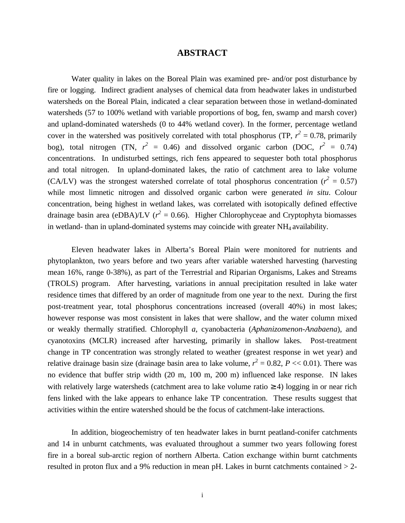#### **ABSTRACT**

Water quality in lakes on the Boreal Plain was examined pre- and/or post disturbance by fire or logging. Indirect gradient analyses of chemical data from headwater lakes in undisturbed watersheds on the Boreal Plain, indicated a clear separation between those in wetland-dominated watersheds (57 to 100% wetland with variable proportions of bog, fen, swamp and marsh cover) and upland-dominated watersheds (0 to 44% wetland cover). In the former, percentage wetland cover in the watershed was positively correlated with total phosphorus (TP,  $r^2 = 0.78$ , primarily bog), total nitrogen (TN,  $r^2 = 0.46$ ) and dissolved organic carbon (DOC,  $r^2 = 0.74$ ) concentrations. In undisturbed settings, rich fens appeared to sequester both total phosphorus and total nitrogen. In upland-dominated lakes, the ratio of catchment area to lake volume (CA/LV) was the strongest watershed correlate of total phosphorus concentration ( $r^2 = 0.57$ ) while most limnetic nitrogen and dissolved organic carbon were generated *in situ*. Colour concentration, being highest in wetland lakes, was correlated with isotopically defined effective drainage basin area (eDBA)/LV ( $r^2 = 0.66$ ). Higher Chlorophyceae and Cryptophyta biomasses in wetland- than in upland-dominated systems may coincide with greater NH<sup>4</sup> availability.

Eleven headwater lakes in Alberta's Boreal Plain were monitored for nutrients and phytoplankton, two years before and two years after variable watershed harvesting (harvesting mean 16%, range 0-38%), as part of the Terrestrial and Riparian Organisms, Lakes and Streams (TROLS) program. After harvesting, variations in annual precipitation resulted in lake water residence times that differed by an order of magnitude from one year to the next. During the first post-treatment year, total phosphorus concentrations increased (overall 40%) in most lakes; however response was most consistent in lakes that were shallow, and the water column mixed or weakly thermally stratified. Chlorophyll *a*, cyanobacteria (*Aphanizomenon-Anabaena*), and cyanotoxins (MCLR) increased after harvesting, primarily in shallow lakes. Post-treatment change in TP concentration was strongly related to weather (greatest response in wet year) and relative drainage basin size (drainage basin area to lake volume,  $r^2 = 0.82$ ,  $P \ll 0.01$ ). There was no evidence that buffer strip width (20 m, 100 m, 200 m) influenced lake response. IN lakes with relatively large watersheds (catchment area to lake volume ratio  $\geq$  4) logging in or near rich fens linked with the lake appears to enhance lake TP concentration. These results suggest that activities within the entire watershed should be the focus of catchment-lake interactions.

In addition, biogeochemistry of ten headwater lakes in burnt peatland-conifer catchments and 14 in unburnt catchments, was evaluated throughout a summer two years following forest fire in a boreal sub-arctic region of northern Alberta. Cation exchange within burnt catchments resulted in proton flux and a 9% reduction in mean pH. Lakes in burnt catchments contained > 2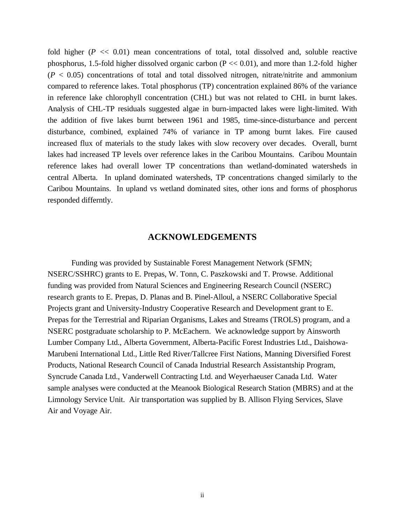fold higher  $(P \ll 0.01)$  mean concentrations of total, total dissolved and, soluble reactive phosphorus, 1.5-fold higher dissolved organic carbon ( $P \ll 0.01$ ), and more than 1.2-fold higher  $(P < 0.05)$  concentrations of total and total dissolved nitrogen, nitrate/nitrite and ammonium compared to reference lakes. Total phosphorus (TP) concentration explained 86% of the variance in reference lake chlorophyll concentration (CHL) but was not related to CHL in burnt lakes. Analysis of CHL-TP residuals suggested algae in burn-impacted lakes were light-limited. With the addition of five lakes burnt between 1961 and 1985, time-since-disturbance and percent disturbance, combined, explained 74% of variance in TP among burnt lakes. Fire caused increased flux of materials to the study lakes with slow recovery over decades. Overall, burnt lakes had increased TP levels over reference lakes in the Caribou Mountains. Caribou Mountain reference lakes had overall lower TP concentrations than wetland-dominated watersheds in central Alberta. In upland dominated watersheds, TP concentrations changed similarly to the Caribou Mountains. In upland vs wetland dominated sites, other ions and forms of phosphorus responded differntly.

#### **ACKNOWLEDGEMENTS**

Funding was provided by Sustainable Forest Management Network (SFMN; NSERC/SSHRC) grants to E. Prepas, W. Tonn, C. Paszkowski and T. Prowse. Additional funding was provided from Natural Sciences and Engineering Research Council (NSERC) research grants to E. Prepas, D. Planas and B. Pinel-Alloul, a NSERC Collaborative Special Projects grant and University-Industry Cooperative Research and Development grant to E. Prepas for the Terrestrial and Riparian Organisms, Lakes and Streams (TROLS) program, and a NSERC postgraduate scholarship to P. McEachern. We acknowledge support by Ainsworth Lumber Company Ltd., Alberta Government, Alberta-Pacific Forest Industries Ltd., Daishowa-Marubeni International Ltd., Little Red River/Tallcree First Nations, Manning Diversified Forest Products, National Research Council of Canada Industrial Research Assistantship Program, Syncrude Canada Ltd., Vanderwell Contracting Ltd. and Weyerhaeuser Canada Ltd. Water sample analyses were conducted at the Meanook Biological Research Station (MBRS) and at the Limnology Service Unit. Air transportation was supplied by B. Allison Flying Services, Slave Air and Voyage Air.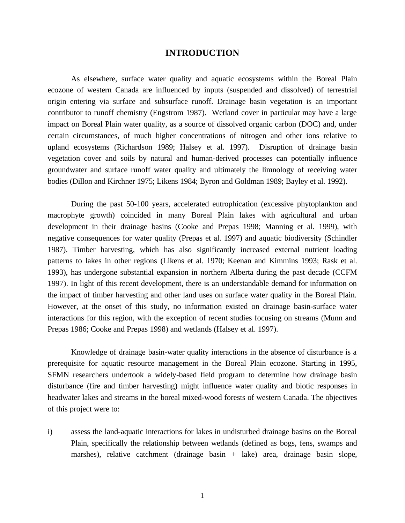#### **INTRODUCTION**

As elsewhere, surface water quality and aquatic ecosystems within the Boreal Plain ecozone of western Canada are influenced by inputs (suspended and dissolved) of terrestrial origin entering via surface and subsurface runoff. Drainage basin vegetation is an important contributor to runoff chemistry (Engstrom 1987). Wetland cover in particular may have a large impact on Boreal Plain water quality, as a source of dissolved organic carbon (DOC) and, under certain circumstances, of much higher concentrations of nitrogen and other ions relative to upland ecosystems (Richardson 1989; Halsey et al. 1997). Disruption of drainage basin vegetation cover and soils by natural and human-derived processes can potentially influence groundwater and surface runoff water quality and ultimately the limnology of receiving water bodies (Dillon and Kirchner 1975; Likens 1984; Byron and Goldman 1989; Bayley et al. 1992).

During the past 50-100 years, accelerated eutrophication (excessive phytoplankton and macrophyte growth) coincided in many Boreal Plain lakes with agricultural and urban development in their drainage basins (Cooke and Prepas 1998; Manning et al. 1999), with negative consequences for water quality (Prepas et al. 1997) and aquatic biodiversity (Schindler 1987). Timber harvesting, which has also significantly increased external nutrient loading patterns to lakes in other regions (Likens et al. 1970; Keenan and Kimmins 1993; Rask et al. 1993), has undergone substantial expansion in northern Alberta during the past decade (CCFM 1997). In light of this recent development, there is an understandable demand for information on the impact of timber harvesting and other land uses on surface water quality in the Boreal Plain. However, at the onset of this study, no information existed on drainage basin-surface water interactions for this region, with the exception of recent studies focusing on streams (Munn and Prepas 1986; Cooke and Prepas 1998) and wetlands (Halsey et al. 1997).

Knowledge of drainage basin-water quality interactions in the absence of disturbance is a prerequisite for aquatic resource management in the Boreal Plain ecozone. Starting in 1995, SFMN researchers undertook a widely-based field program to determine how drainage basin disturbance (fire and timber harvesting) might influence water quality and biotic responses in headwater lakes and streams in the boreal mixed-wood forests of western Canada. The objectives of this project were to:

i) assess the land-aquatic interactions for lakes in undisturbed drainage basins on the Boreal Plain, specifically the relationship between wetlands (defined as bogs, fens, swamps and marshes), relative catchment (drainage basin + lake) area, drainage basin slope,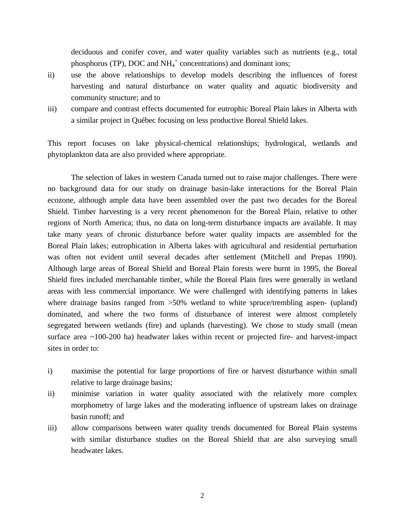deciduous and conifer cover, and water quality variables such as nutrients (e.g., total phosphorus (TP), DOC and  $NH_4^+$  concentrations) and dominant ions;

- ii) use the above relationships to develop models describing the influences of forest harvesting and natural disturbance on water quality and aquatic biodiversity and community structure; and to
- iii) compare and contrast effects documented for eutrophic Boreal Plain lakes in Alberta with a similar project in Québec focusing on less productive Boreal Shield lakes.

This report focuses on lake physical-chemical relationships; hydrological, wetlands and phytoplankton data are also provided where appropriate.

The selection of lakes in western Canada turned out to raise major challenges. There were no background data for our study on drainage basin-lake interactions for the Boreal Plain ecozone, although ample data have been assembled over the past two decades for the Boreal Shield. Timber harvesting is a very recent phenomenon for the Boreal Plain, relative to other regions of North America; thus, no data on long-term disturbance impacts are available. It may take many years of chronic disturbance before water quality impacts are assembled for the Boreal Plain lakes; eutrophication in Alberta lakes with agricultural and residential perturbation was often not evident until several decades after settlement (Mitchell and Prepas 1990). Although large areas of Boreal Shield and Boreal Plain forests were burnt in 1995, the Boreal Shield fires included merchantable timber, while the Boreal Plain fires were generally in wetland areas with less commercial importance. We were challenged with identifying patterns in lakes where drainage basins ranged from  $>50\%$  wetland to white spruce/trembling aspen- (upland) dominated, and where the two forms of disturbance of interest were almost completely segregated between wetlands (fire) and uplands (harvesting). We chose to study small (mean surface area ~100-200 ha) headwater lakes within recent or projected fire- and harvest-impact sites in order to:

- i) maximise the potential for large proportions of fire or harvest disturbance within small relative to large drainage basins;
- ii) minimise variation in water quality associated with the relatively more complex morphometry of large lakes and the moderating influence of upstream lakes on drainage basin runoff; and
- iii) allow comparisons between water quality trends documented for Boreal Plain systems with similar disturbance studies on the Boreal Shield that are also surveying small headwater lakes.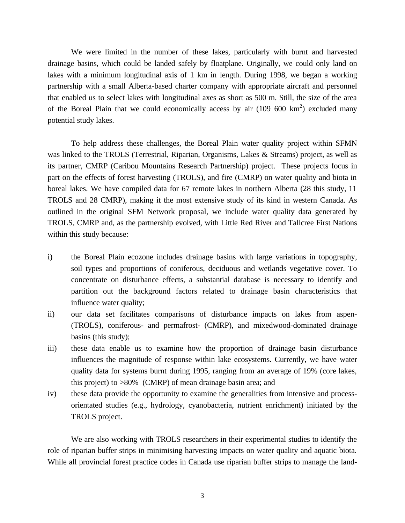We were limited in the number of these lakes, particularly with burnt and harvested drainage basins, which could be landed safely by floatplane. Originally, we could only land on lakes with a minimum longitudinal axis of 1 km in length. During 1998, we began a working partnership with a small Alberta-based charter company with appropriate aircraft and personnel that enabled us to select lakes with longitudinal axes as short as 500 m. Still, the size of the area of the Boreal Plain that we could economically access by air  $(109\,600\,km^2)$  excluded many potential study lakes.

To help address these challenges, the Boreal Plain water quality project within SFMN was linked to the TROLS (Terrestrial, Riparian, Organisms, Lakes & Streams) project, as well as its partner, CMRP (Caribou Mountains Research Partnership) project. These projects focus in part on the effects of forest harvesting (TROLS), and fire (CMRP) on water quality and biota in boreal lakes. We have compiled data for 67 remote lakes in northern Alberta (28 this study, 11 TROLS and 28 CMRP), making it the most extensive study of its kind in western Canada. As outlined in the original SFM Network proposal, we include water quality data generated by TROLS, CMRP and, as the partnership evolved, with Little Red River and Tallcree First Nations within this study because:

- i) the Boreal Plain ecozone includes drainage basins with large variations in topography, soil types and proportions of coniferous, deciduous and wetlands vegetative cover. To concentrate on disturbance effects, a substantial database is necessary to identify and partition out the background factors related to drainage basin characteristics that influence water quality;
- ii) our data set facilitates comparisons of disturbance impacts on lakes from aspen- (TROLS), coniferous- and permafrost- (CMRP), and mixedwood-dominated drainage basins (this study);
- iii) these data enable us to examine how the proportion of drainage basin disturbance influences the magnitude of response within lake ecosystems. Currently, we have water quality data for systems burnt during 1995, ranging from an average of 19% (core lakes, this project) to >80% (CMRP) of mean drainage basin area; and
- iv) these data provide the opportunity to examine the generalities from intensive and processorientated studies (e.g., hydrology, cyanobacteria, nutrient enrichment) initiated by the TROLS project.

We are also working with TROLS researchers in their experimental studies to identify the role of riparian buffer strips in minimising harvesting impacts on water quality and aquatic biota. While all provincial forest practice codes in Canada use riparian buffer strips to manage the land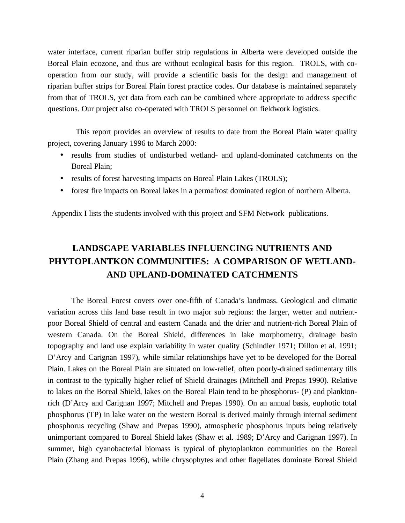water interface, current riparian buffer strip regulations in Alberta were developed outside the Boreal Plain ecozone, and thus are without ecological basis for this region. TROLS, with cooperation from our study, will provide a scientific basis for the design and management of riparian buffer strips for Boreal Plain forest practice codes. Our database is maintained separately from that of TROLS, yet data from each can be combined where appropriate to address specific questions. Our project also co-operated with TROLS personnel on fieldwork logistics.

This report provides an overview of results to date from the Boreal Plain water quality project, covering January 1996 to March 2000:

- results from studies of undisturbed wetland- and upland-dominated catchments on the Boreal Plain;
- results of forest harvesting impacts on Boreal Plain Lakes (TROLS);
- forest fire impacts on Boreal lakes in a permafrost dominated region of northern Alberta.

Appendix I lists the students involved with this project and SFM Network publications.

## **LANDSCAPE VARIABLES INFLUENCING NUTRIENTS AND PHYTOPLANTKON COMMUNITIES: A COMPARISON OF WETLAND-AND UPLAND-DOMINATED CATCHMENTS**

The Boreal Forest covers over one-fifth of Canada's landmass. Geological and climatic variation across this land base result in two major sub regions: the larger, wetter and nutrientpoor Boreal Shield of central and eastern Canada and the drier and nutrient-rich Boreal Plain of western Canada. On the Boreal Shield, differences in lake morphometry, drainage basin topography and land use explain variability in water quality (Schindler 1971; Dillon et al. 1991; D'Arcy and Carignan 1997), while similar relationships have yet to be developed for the Boreal Plain. Lakes on the Boreal Plain are situated on low-relief, often poorly-drained sedimentary tills in contrast to the typically higher relief of Shield drainages (Mitchell and Prepas 1990). Relative to lakes on the Boreal Shield, lakes on the Boreal Plain tend to be phosphorus- (P) and planktonrich (D'Arcy and Carignan 1997; Mitchell and Prepas 1990). On an annual basis, euphotic total phosphorus (TP) in lake water on the western Boreal is derived mainly through internal sediment phosphorus recycling (Shaw and Prepas 1990), atmospheric phosphorus inputs being relatively unimportant compared to Boreal Shield lakes (Shaw et al. 1989; D'Arcy and Carignan 1997). In summer, high cyanobacterial biomass is typical of phytoplankton communities on the Boreal Plain (Zhang and Prepas 1996), while chrysophytes and other flagellates dominate Boreal Shield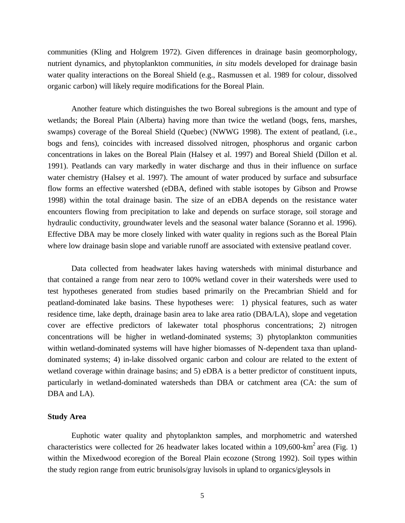communities (Kling and Holgrem 1972). Given differences in drainage basin geomorphology, nutrient dynamics, and phytoplankton communities, *in situ* models developed for drainage basin water quality interactions on the Boreal Shield (e.g., Rasmussen et al. 1989 for colour, dissolved organic carbon) will likely require modifications for the Boreal Plain.

Another feature which distinguishes the two Boreal subregions is the amount and type of wetlands; the Boreal Plain (Alberta) having more than twice the wetland (bogs, fens, marshes, swamps) coverage of the Boreal Shield (Quebec) (NWWG 1998). The extent of peatland, (i.e., bogs and fens), coincides with increased dissolved nitrogen, phosphorus and organic carbon concentrations in lakes on the Boreal Plain (Halsey et al. 1997) and Boreal Shield (Dillon et al. 1991). Peatlands can vary markedly in water discharge and thus in their influence on surface water chemistry (Halsey et al. 1997). The amount of water produced by surface and subsurface flow forms an effective watershed (eDBA, defined with stable isotopes by Gibson and Prowse 1998) within the total drainage basin. The size of an eDBA depends on the resistance water encounters flowing from precipitation to lake and depends on surface storage, soil storage and hydraulic conductivity, groundwater levels and the seasonal water balance (Soranno et al. 1996). Effective DBA may be more closely linked with water quality in regions such as the Boreal Plain where low drainage basin slope and variable runoff are associated with extensive peatland cover.

Data collected from headwater lakes having watersheds with minimal disturbance and that contained a range from near zero to 100% wetland cover in their watersheds were used to test hypotheses generated from studies based primarily on the Precambrian Shield and for peatland-dominated lake basins. These hypotheses were: 1) physical features, such as water residence time, lake depth, drainage basin area to lake area ratio (DBA/LA), slope and vegetation cover are effective predictors of lakewater total phosphorus concentrations; 2) nitrogen concentrations will be higher in wetland-dominated systems; 3) phytoplankton communities within wetland-dominated systems will have higher biomasses of N-dependent taxa than uplanddominated systems; 4) in-lake dissolved organic carbon and colour are related to the extent of wetland coverage within drainage basins; and 5) eDBA is a better predictor of constituent inputs, particularly in wetland-dominated watersheds than DBA or catchment area (CA: the sum of DBA and LA).

#### **Study Area**

Euphotic water quality and phytoplankton samples, and morphometric and watershed characteristics were collected for 26 headwater lakes located within a 109,600-km<sup>2</sup> area (Fig. 1) within the Mixedwood ecoregion of the Boreal Plain ecozone (Strong 1992). Soil types within the study region range from eutric brunisols/gray luvisols in upland to organics/gleysols in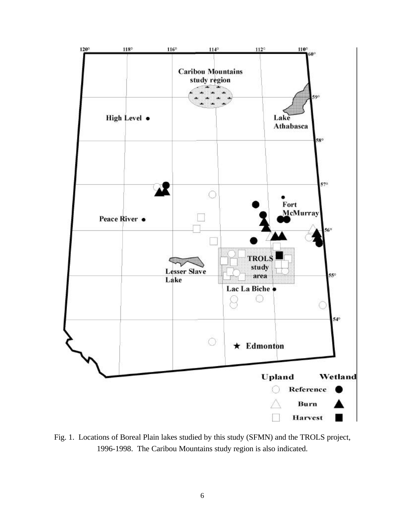

Fig. 1. Locations of Boreal Plain lakes studied by this study (SFMN) and the TROLS project, 1996-1998. The Caribou Mountains study region is also indicated.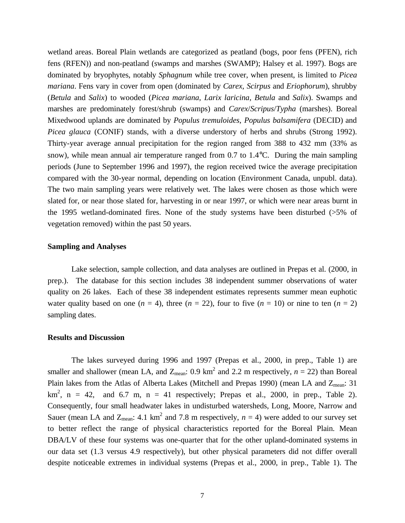wetland areas. Boreal Plain wetlands are categorized as peatland (bogs, poor fens (PFEN), rich fens (RFEN)) and non-peatland (swamps and marshes (SWAMP); Halsey et al. 1997). Bogs are dominated by bryophytes, notably *Sphagnum* while tree cover, when present, is limited to *Picea mariana*. Fens vary in cover from open (dominated by *Carex*, *Scirpus* and *Eriophorum*), shrubby (*Betula* and *Salix*) to wooded (*Picea mariana*, *Larix laricina*, *Betula* and *Salix*). Swamps and marshes are predominately forest/shrub (swamps) and *Carex*/*Scripus*/*Typha* (marshes). Boreal Mixedwood uplands are dominated by *Populus tremuloides*, *Populus balsamifera* (DECID) and *Picea glauca* (CONIF) stands, with a diverse understory of herbs and shrubs (Strong 1992). Thirty-year average annual precipitation for the region ranged from 388 to 432 mm (33% as snow), while mean annual air temperature ranged from 0.7 to 1.4°C. During the main sampling periods (June to September 1996 and 1997), the region received twice the average precipitation compared with the 30-year normal, depending on location (Environment Canada, unpubl. data). The two main sampling years were relatively wet. The lakes were chosen as those which were slated for, or near those slated for, harvesting in or near 1997, or which were near areas burnt in the 1995 wetland-dominated fires. None of the study systems have been disturbed (>5% of vegetation removed) within the past 50 years.

#### **Sampling and Analyses**

Lake selection, sample collection, and data analyses are outlined in Prepas et al. (2000, in prep.). The database for this section includes 38 independent summer observations of water quality on 26 lakes. Each of these 38 independent estimates represents summer mean euphotic water quality based on one ( $n = 4$ ), three ( $n = 22$ ), four to five ( $n = 10$ ) or nine to ten ( $n = 2$ ) sampling dates.

#### **Results and Discussion**

The lakes surveyed during 1996 and 1997 (Prepas et al., 2000, in prep., Table 1) are smaller and shallower (mean LA, and  $Z_{mean}$ : 0.9 km<sup>2</sup> and 2.2 m respectively,  $n = 22$ ) than Boreal Plain lakes from the Atlas of Alberta Lakes (Mitchell and Prepas 1990) (mean LA and Z<sub>mean</sub>: 31  $km^2$ ,  $n = 42$ , and 6.7 m,  $n = 41$  respectively; Prepas et al., 2000, in prep., Table 2). Consequently, four small headwater lakes in undisturbed watersheds, Long, Moore, Narrow and Sauer (mean LA and  $Z_{mean}$ : 4.1 km<sup>2</sup> and 7.8 m respectively,  $n = 4$ ) were added to our survey set to better reflect the range of physical characteristics reported for the Boreal Plain. Mean DBA/LV of these four systems was one-quarter that for the other upland-dominated systems in our data set (1.3 versus 4.9 respectively), but other physical parameters did not differ overall despite noticeable extremes in individual systems (Prepas et al., 2000, in prep., Table 1). The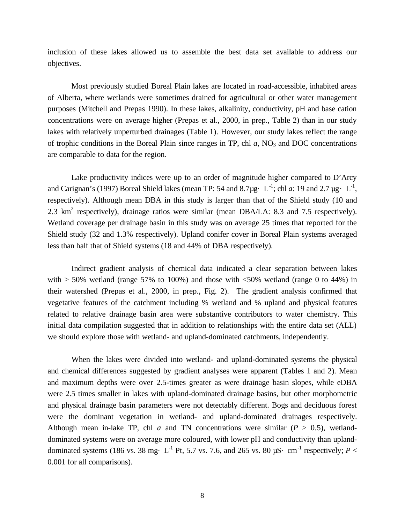inclusion of these lakes allowed us to assemble the best data set available to address our objectives.

Most previously studied Boreal Plain lakes are located in road-accessible, inhabited areas of Alberta, where wetlands were sometimes drained for agricultural or other water management purposes (Mitchell and Prepas 1990). In these lakes, alkalinity, conductivity, pH and base cation concentrations were on average higher (Prepas et al., 2000, in prep., Table 2) than in our study lakes with relatively unperturbed drainages (Table 1). However, our study lakes reflect the range of trophic conditions in the Boreal Plain since ranges in TP, chl  $a$ , NO<sub>3</sub> and DOC concentrations are comparable to data for the region.

Lake productivity indices were up to an order of magnitude higher compared to D'Arcy and Carignan's (1997) Boreal Shield lakes (mean TP: 54 and 8.7 µg· L<sup>-1</sup>; chl *a*: 19 and 2.7 µg· L<sup>-1</sup>, respectively). Although mean DBA in this study is larger than that of the Shield study (10 and 2.3  $\text{km}^2$  respectively), drainage ratios were similar (mean DBA/LA: 8.3 and 7.5 respectively). Wetland coverage per drainage basin in this study was on average 25 times that reported for the Shield study (32 and 1.3% respectively). Upland conifer cover in Boreal Plain systems averaged less than half that of Shield systems (18 and 44% of DBA respectively).

Indirect gradient analysis of chemical data indicated a clear separation between lakes with  $> 50\%$  wetland (range 57% to 100%) and those with  $<50\%$  wetland (range 0 to 44%) in their watershed (Prepas et al., 2000, in prep., Fig. 2). The gradient analysis confirmed that vegetative features of the catchment including % wetland and % upland and physical features related to relative drainage basin area were substantive contributors to water chemistry. This initial data compilation suggested that in addition to relationships with the entire data set (ALL) we should explore those with wetland- and upland-dominated catchments, independently.

When the lakes were divided into wetland- and upland-dominated systems the physical and chemical differences suggested by gradient analyses were apparent (Tables 1 and 2). Mean and maximum depths were over 2.5-times greater as were drainage basin slopes, while eDBA were 2.5 times smaller in lakes with upland-dominated drainage basins, but other morphometric and physical drainage basin parameters were not detectably different. Bogs and deciduous forest were the dominant vegetation in wetland- and upland-dominated drainages respectively. Although mean in-lake TP, chl *a* and TN concentrations were similar ( $P > 0.5$ ), wetlanddominated systems were on average more coloured, with lower pH and conductivity than uplanddominated systems (186 vs. 38 mg· L<sup>-1</sup> Pt, 5.7 vs. 7.6, and 265 vs. 80  $\mu$ S· cm<sup>-1</sup> respectively; *P* < 0.001 for all comparisons).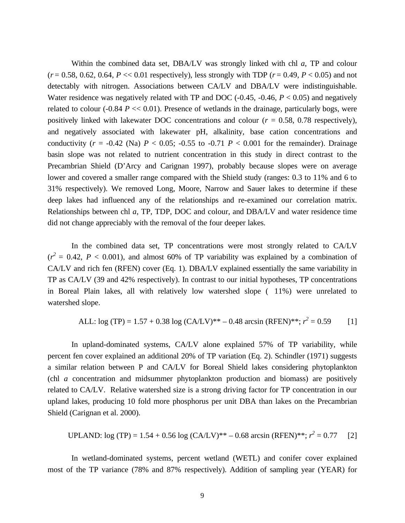Within the combined data set, DBA/LV was strongly linked with chl *a*, TP and colour  $(r = 0.58, 0.62, 0.64, P \ll 0.01$  respectively), less strongly with TDP  $(r = 0.49, P \ll 0.05)$  and not detectably with nitrogen. Associations between CA/LV and DBA/LV were indistinguishable. Water residence was negatively related with TP and DOC (-0.45, -0.46, *P* < 0.05) and negatively related to colour  $(-0.84 \, P \ll 0.01)$ . Presence of wetlands in the drainage, particularly bogs, were positively linked with lakewater DOC concentrations and colour (*r* = 0.58, 0.78 respectively), and negatively associated with lakewater pH, alkalinity, base cation concentrations and conductivity ( $r = -0.42$  (Na)  $P < 0.05$ ;  $-0.55$  to  $-0.71$   $P < 0.001$  for the remainder). Drainage basin slope was not related to nutrient concentration in this study in direct contrast to the Precambrian Shield (D'Arcy and Carignan 1997), probably because slopes were on average lower and covered a smaller range compared with the Shield study (ranges: 0.3 to 11% and 6 to 31% respectively). We removed Long, Moore, Narrow and Sauer lakes to determine if these deep lakes had influenced any of the relationships and re-examined our correlation matrix. Relationships between chl *a*, TP, TDP, DOC and colour, and DBA/LV and water residence time did not change appreciably with the removal of the four deeper lakes.

In the combined data set, TP concentrations were most strongly related to CA/LV  $(r^2 = 0.42, P < 0.001)$ , and almost 60% of TP variability was explained by a combination of CA/LV and rich fen (RFEN) cover (Eq. 1). DBA/LV explained essentially the same variability in TP as CA/LV (39 and 42% respectively). In contrast to our initial hypotheses, TP concentrations in Boreal Plain lakes, all with relatively low watershed slope ( 11%) were unrelated to watershed slope.

ALL: log (TP) = 1.57 + 0.38 log (CA/LV)\*+ -0.48 arcsin (RFEN)\*"; 
$$
r^2 = 0.59
$$
 [1]

In upland-dominated systems, CA/LV alone explained 57% of TP variability, while percent fen cover explained an additional 20% of TP variation (Eq. 2). Schindler (1971) suggests a similar relation between P and CA/LV for Boreal Shield lakes considering phytoplankton (chl *a* concentration and midsummer phytoplankton production and biomass) are positively related to CA/LV. Relative watershed size is a strong driving factor for TP concentration in our upland lakes, producing 10 fold more phosphorus per unit DBA than lakes on the Precambrian Shield (Carignan et al. 2000).

UPLAND: 
$$
log (TP) = 1.54 + 0.56 log (CA/LV)*+ -0.68 arcsin (RFEN)*"; r^2 = 0.77
$$
 [2]

In wetland-dominated systems, percent wetland (WETL) and conifer cover explained most of the TP variance (78% and 87% respectively). Addition of sampling year (YEAR) for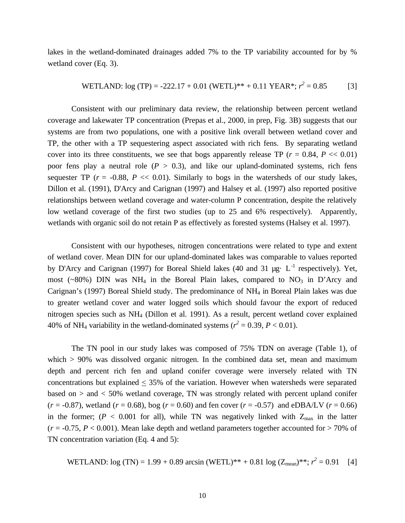lakes in the wetland-dominated drainages added 7% to the TP variability accounted for by % wetland cover (Eq. 3).

**WETLAND:** log (TP) = -222.17 + 0.01 (WETL)\*\* + 0.11 YEAR\*; 
$$
r^2 = 0.85
$$
 [3]

Consistent with our preliminary data review, the relationship between percent wetland coverage and lakewater TP concentration (Prepas et al., 2000, in prep, Fig. 3B) suggests that our systems are from two populations, one with a positive link overall between wetland cover and TP, the other with a TP sequestering aspect associated with rich fens. By separating wetland cover into its three constituents, we see that bogs apparently release TP ( $r = 0.84$ ,  $P \ll 0.01$ ) poor fens play a neutral role  $(P > 0.3)$ , and like our upland-dominated systems, rich fens sequester TP ( $r = -0.88$ ,  $P \ll 0.01$ ). Similarly to bogs in the watersheds of our study lakes, Dillon et al. (1991), D'Arcy and Carignan (1997) and Halsey et al. (1997) also reported positive relationships between wetland coverage and water-column P concentration, despite the relatively low wetland coverage of the first two studies (up to 25 and 6% respectively). Apparently, wetlands with organic soil do not retain P as effectively as forested systems (Halsey et al. 1997).

Consistent with our hypotheses, nitrogen concentrations were related to type and extent of wetland cover. Mean DIN for our upland-dominated lakes was comparable to values reported by D'Arcy and Carignan (1997) for Boreal Shield lakes (40 and 31  $\mu$ g· L<sup>-1</sup> respectively). Yet, most (~80%) DIN was NH<sub>4</sub> in the Boreal Plain lakes, compared to  $NO<sub>3</sub>$  in D'Arcy and Carignan's (1997) Boreal Shield study. The predominance of NH4 in Boreal Plain lakes was due to greater wetland cover and water logged soils which should favour the export of reduced nitrogen species such as NH4 (Dillon et al. 1991). As a result, percent wetland cover explained 40% of NH<sub>4</sub> variability in the wetland-dominated systems ( $r^2 = 0.39$ ,  $P < 0.01$ ).

The TN pool in our study lakes was composed of 75% TDN on average (Table 1), of which  $> 90\%$  was dissolved organic nitrogen. In the combined data set, mean and maximum depth and percent rich fen and upland conifer coverage were inversely related with TN concentrations but explained  $\leq$  35% of the variation. However when watersheds were separated based on  $>$  and  $<$  50% wetland coverage, TN was strongly related with percent upland conifer  $(r = -0.87)$ , wetland  $(r = 0.68)$ , bog  $(r = 0.60)$  and fen cover  $(r = -0.57)$  and eDBA/LV  $(r = 0.66)$ in the former; ( $P < 0.001$  for all), while TN was negatively linked with  $Z_{\text{max}}$  in the latter  $(r = -0.75, P < 0.001)$ . Mean lake depth and wetland parameters together accounted for  $> 70\%$  of TN concentration variation (Eq. 4 and 5):

**WETLAND:** log (TN) = 1.99 + 0.89 arcsin (WETL)\*\* + 0.81 log (Z<sub>mean</sub>)\*\*; 
$$
r^2 = 0.91
$$
 [4]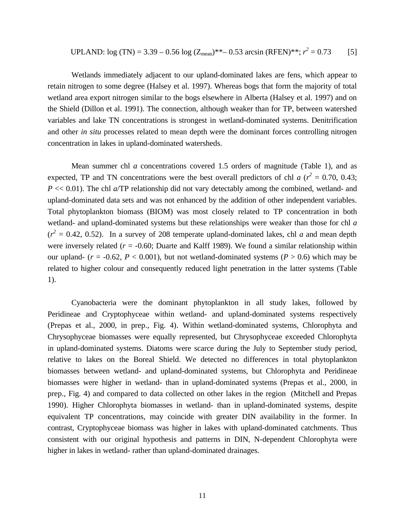UPLAND: 
$$
log (TN) = 3.39 - 0.56 log (Z_{mean})^{**} - 0.53 arcsin (RFEN)^{**}; r^2 = 0.73
$$
 [5]

Wetlands immediately adjacent to our upland-dominated lakes are fens, which appear to retain nitrogen to some degree (Halsey et al. 1997). Whereas bogs that form the majority of total wetland area export nitrogen similar to the bogs elsewhere in Alberta (Halsey et al. 1997) and on the Shield (Dillon et al. 1991). The connection, although weaker than for TP, between watershed variables and lake TN concentrations is strongest in wetland-dominated systems. Denitrification and other *in situ* processes related to mean depth were the dominant forces controlling nitrogen concentration in lakes in upland-dominated watersheds.

Mean summer chl *a* concentrations covered 1.5 orders of magnitude (Table 1), and as expected, TP and TN concentrations were the best overall predictors of chl *a* ( $r^2 = 0.70, 0.43$ ; *P* << 0.01). The chl *a*/TP relationship did not vary detectably among the combined, wetland- and upland-dominated data sets and was not enhanced by the addition of other independent variables. Total phytoplankton biomass (BIOM) was most closely related to TP concentration in both wetland- and upland-dominated systems but these relationships were weaker than those for chl *a*   $(r^2 = 0.42, 0.52)$ . In a survey of 208 temperate upland-dominated lakes, chl *a* and mean depth were inversely related  $(r = -0.60;$  Duarte and Kalff 1989). We found a similar relationship within our upland-  $(r = -0.62, P < 0.001)$ , but not wetland-dominated systems ( $P > 0.6$ ) which may be related to higher colour and consequently reduced light penetration in the latter systems (Table 1).

Cyanobacteria were the dominant phytoplankton in all study lakes, followed by Peridineae and Cryptophyceae within wetland- and upland-dominated systems respectively (Prepas et al., 2000, in prep., Fig. 4). Within wetland-dominated systems, Chlorophyta and Chrysophyceae biomasses were equally represented, but Chrysophyceae exceeded Chlorophyta in upland-dominated systems. Diatoms were scarce during the July to September study period, relative to lakes on the Boreal Shield. We detected no differences in total phytoplankton biomasses between wetland- and upland-dominated systems, but Chlorophyta and Peridineae biomasses were higher in wetland- than in upland-dominated systems (Prepas et al., 2000, in prep., Fig. 4) and compared to data collected on other lakes in the region (Mitchell and Prepas 1990). Higher Chlorophyta biomasses in wetland- than in upland-dominated systems, despite equivalent TP concentrations, may coincide with greater DIN availability in the former. In contrast, Cryptophyceae biomass was higher in lakes with upland-dominated catchments. Thus consistent with our original hypothesis and patterns in DIN, N-dependent Chlorophyta were higher in lakes in wetland- rather than upland-dominated drainages.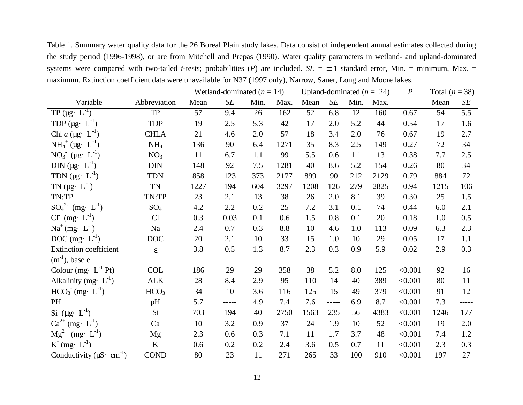Table 1. Summary water quality data for the 26 Boreal Plain study lakes. Data consist of independent annual estimates collected during the study period (1996-1998), or are from Mitchell and Prepas (1990). Water quality parameters in wetland- and upland-dominated systems were compared with two-tailed *t*-tests; probabilities (*P*) are included.  $SE = \pm 1$  standard error, Min. = minimum, Max. = maximum. Extinction coefficient data were unavailable for N37 (1997 only), Narrow, Sauer, Long and Moore lakes.

|                                            |                         |      | Wetland-dominated $(n = 14)$ |      |      | Upland-dominated $(n = 24)$ |         | $\boldsymbol{P}$ | Total $(n = 38)$ |         |      |       |
|--------------------------------------------|-------------------------|------|------------------------------|------|------|-----------------------------|---------|------------------|------------------|---------|------|-------|
| Variable                                   | Abbreviation            | Mean | $S\hspace{-0.08em}E$         | Min. | Max. | Mean                        | SE      | Min.             | Max.             |         | Mean | SE    |
| TP ( $\mu$ g. $L^{-1}$ )                   | ${\rm TP}$              | 57   | 9.4                          | 26   | 162  | 52                          | 6.8     | 12               | 160              | 0.67    | 54   | 5.5   |
| TDP ( $\mu$ g· L <sup>-1</sup> )           | <b>TDP</b>              | 19   | 2.5                          | 5.3  | 42   | 17                          | 2.0     | 5.2              | 44               | 0.54    | 17   | 1.6   |
| Chl a ( $\mu$ g· L <sup>-1</sup> )         | <b>CHLA</b>             | 21   | 4.6                          | 2.0  | 57   | 18                          | 3.4     | 2.0              | 76               | 0.67    | 19   | 2.7   |
| $NH_4^+$ (µg. $L^{-1}$ )                   | NH <sub>4</sub>         | 136  | 90                           | 6.4  | 1271 | 35                          | 8.3     | 2.5              | 149              | 0.27    | 72   | 34    |
| $NO_3$ (µg. $L^{-1}$ )                     | NO <sub>3</sub>         | 11   | 6.7                          | 1.1  | 99   | 5.5                         | 0.6     | 1.1              | 13               | 0.38    | 7.7  | 2.5   |
| DIN ( $\mu$ g· L <sup>-1</sup> )           | <b>DIN</b>              | 148  | 92                           | 7.5  | 1281 | 40                          | 8.6     | 5.2              | 154              | 0.26    | 80   | 34    |
| TDN $(\mu g \cdot L^{-1})$                 | <b>TDN</b>              | 858  | 123                          | 373  | 2177 | 899                         | 90      | 212              | 2129             | 0.79    | 884  | 72    |
| TN $(\mu g \cdot L^{-1})$                  | <b>TN</b>               | 1227 | 194                          | 604  | 3297 | 1208                        | 126     | 279              | 2825             | 0.94    | 1215 | 106   |
| TN:TP                                      | TN:TP                   | 23   | 2.1                          | 13   | 38   | 26                          | 2.0     | 8.1              | 39               | 0.30    | 25   | 1.5   |
| $SO_4^2$ <sup>2</sup> (mg· $L^{-1}$ )      | $SO_4$                  | 4.2  | $2.2\,$                      | 0.2  | 25   | $7.2\,$                     | 3.1     | 0.1              | 74               | 0.44    | 6.0  | 2.1   |
| $CI^{(}$ (mg. $L^{-1}$ )                   | Cl                      | 0.3  | 0.03                         | 0.1  | 0.6  | 1.5                         | 0.8     | 0.1              | 20               | 0.18    | 1.0  | 0.5   |
| $Na^{+}(mg \cdot L^{-1})$                  | Na                      | 2.4  | 0.7                          | 0.3  | 8.8  | 10                          | 4.6     | 1.0              | 113              | 0.09    | 6.3  | 2.3   |
| DOC (mg. $L^{-1}$ )                        | <b>DOC</b>              | 20   | 2.1                          | 10   | 33   | 15                          | 1.0     | 10               | 29               | 0.05    | 17   | 1.1   |
| Extinction coefficient                     | $\boldsymbol{\epsilon}$ | 3.8  | 0.5                          | 1.3  | 8.7  | 2.3                         | 0.3     | 0.9              | 5.9              | 0.02    | 2.9  | 0.3   |
| $(m^{-1})$ , base e                        |                         |      |                              |      |      |                             |         |                  |                  |         |      |       |
| Colour (mg. $L^{-1}$ Pt)                   | <b>COL</b>              | 186  | 29                           | 29   | 358  | 38                          | 5.2     | 8.0              | 125              | < 0.001 | 92   | 16    |
| Alkalinity (mg. $L^{-1}$ )                 | $\mbox{ALK}$            | 28   | 8.4                          | 2.9  | 95   | 110                         | 14      | 40               | 389              | < 0.001 | 80   | 11    |
| $HCO3- (mg· L-1)$                          | HCO <sub>3</sub>        | 34   | 10                           | 3.6  | 116  | 125                         | 15      | 49               | 379              | < 0.001 | 91   | 12    |
| PH                                         | pH                      | 5.7  | -----                        | 4.9  | 7.4  | 7.6                         | $--- -$ | 6.9              | 8.7              | < 0.001 | 7.3  | ----- |
| Si $(\mu g \cdot L^{-1})$                  | Si                      | 703  | 194                          | 40   | 2750 | 1563                        | 235     | 56               | 4383             | < 0.001 | 1246 | 177   |
| $Ca^{2+}$ (mg. $L^{-1}$ )                  | Ca                      | 10   | 3.2                          | 0.9  | 37   | 24                          | 1.9     | 10               | 52               | < 0.001 | 19   | 2.0   |
| $Mg^{2+}$ (mg· $L^{-1}$ )                  | Mg                      | 2.3  | 0.6                          | 0.3  | 7.1  | 11                          | 1.7     | 3.7              | 48               | < 0.001 | 7.4  | 1.2   |
| $K^{+}$ (mg· $L^{-1}$ )                    | $\rm K$                 | 0.6  | 0.2                          | 0.2  | 2.4  | 3.6                         | 0.5     | 0.7              | 11               | < 0.001 | 2.3  | 0.3   |
| Conductivity ( $\mu$ S· cm <sup>-1</sup> ) | <b>COND</b>             | 80   | 23                           | 11   | 271  | 265                         | 33      | 100              | 910              | < 0.001 | 197  | 27    |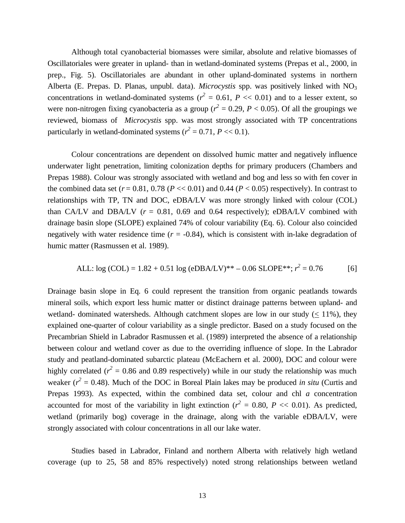Although total cyanobacterial biomasses were similar, absolute and relative biomasses of Oscillatoriales were greater in upland- than in wetland-dominated systems (Prepas et al., 2000, in prep., Fig. 5). Oscillatoriales are abundant in other upland-dominated systems in northern Alberta (E. Prepas. D. Planas, unpubl. data). *Microcystis* spp. was positively linked with NO<sup>3</sup> concentrations in wetland-dominated systems ( $r^2 = 0.61$ ,  $P \ll 0.01$ ) and to a lesser extent, so were non-nitrogen fixing cyanobacteria as a group ( $r^2 = 0.29$ ,  $P < 0.05$ ). Of all the groupings we reviewed, biomass of *Microcystis* spp. was most strongly associated with TP concentrations particularly in wetland-dominated systems  $(r^2 = 0.71, P \ll 0.1)$ .

Colour concentrations are dependent on dissolved humic matter and negatively influence underwater light penetration, limiting colonization depths for primary producers (Chambers and Prepas 1988). Colour was strongly associated with wetland and bog and less so with fen cover in the combined data set  $(r = 0.81, 0.78$  ( $P \ll 0.01$ ) and 0.44 ( $P \ll 0.05$ ) respectively). In contrast to relationships with TP, TN and DOC, eDBA/LV was more strongly linked with colour (COL) than CA/LV and DBA/LV  $(r = 0.81, 0.69$  and 0.64 respectively); eDBA/LV combined with drainage basin slope (SLOPE) explained 74% of colour variability (Eq. 6). Colour also coincided negatively with water residence time  $(r = -0.84)$ , which is consistent with in-lake degradation of humic matter (Rasmussen et al. 1989).

ALL: log (COL) = 1.82 + 0.51 log (eDBA/LV)\*+ - 0.06 SLOPE\*\*; 
$$
r^2 = 0.76
$$
 [6]

Drainage basin slope in Eq. 6 could represent the transition from organic peatlands towards mineral soils, which export less humic matter or distinct drainage patterns between upland- and wetland- dominated watersheds. Although catchment slopes are low in our study ( $\lt$  11%), they explained one-quarter of colour variability as a single predictor. Based on a study focused on the Precambrian Shield in Labrador Rasmussen et al. (1989) interpreted the absence of a relationship between colour and wetland cover as due to the overriding influence of slope. In the Labrador study and peatland-dominated subarctic plateau (McEachern et al. 2000), DOC and colour were highly correlated ( $r^2$  = 0.86 and 0.89 respectively) while in our study the relationship was much weaker  $(r^2 = 0.48)$ . Much of the DOC in Boreal Plain lakes may be produced *in situ* (Curtis and Prepas 1993). As expected, within the combined data set, colour and chl *a* concentration accounted for most of the variability in light extinction ( $r^2 = 0.80$ ,  $P \ll 0.01$ ). As predicted, wetland (primarily bog) coverage in the drainage, along with the variable eDBA/LV, were strongly associated with colour concentrations in all our lake water.

Studies based in Labrador, Finland and northern Alberta with relatively high wetland coverage (up to 25, 58 and 85% respectively) noted strong relationships between wetland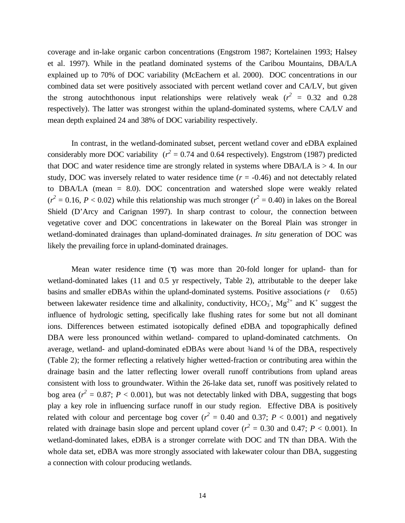coverage and in-lake organic carbon concentrations (Engstrom 1987; Kortelainen 1993; Halsey et al. 1997). While in the peatland dominated systems of the Caribou Mountains, DBA/LA explained up to 70% of DOC variability (McEachern et al. 2000). DOC concentrations in our combined data set were positively associated with percent wetland cover and CA/LV, but given the strong autochthonous input relationships were relatively weak  $(r^2 = 0.32$  and 0.28 respectively). The latter was strongest within the upland-dominated systems, where CA/LV and mean depth explained 24 and 38% of DOC variability respectively.

In contrast, in the wetland-dominated subset, percent wetland cover and eDBA explained considerably more DOC variability  $(r^2 = 0.74$  and 0.64 respectively). Engstrom (1987) predicted that DOC and water residence time are strongly related in systems where DBA/LA is  $> 4$ . In our study, DOC was inversely related to water residence time  $(r = -0.46)$  and not detectably related to DBA/LA (mean = 8.0). DOC concentration and watershed slope were weakly related  $(r^2 = 0.16, P < 0.02)$  while this relationship was much stronger  $(r^2 = 0.40)$  in lakes on the Boreal Shield (D'Arcy and Carignan 1997). In sharp contrast to colour, the connection between vegetative cover and DOC concentrations in lakewater on the Boreal Plain was stronger in wetland-dominated drainages than upland-dominated drainages. *In situ* generation of DOC was likely the prevailing force in upland-dominated drainages.

Mean water residence time  $(\tau)$  was more than 20-fold longer for upland- than for wetland-dominated lakes (11 and 0.5 yr respectively, Table 2), attributable to the deeper lake basins and smaller eDBAs within the upland-dominated systems. Positive associations (*r* 0.65) between lakewater residence time and alkalinity, conductivity,  $HCO_3$ ,  $Mg^{2+}$  and  $K^+$  suggest the influence of hydrologic setting, specifically lake flushing rates for some but not all dominant ions. Differences between estimated isotopically defined eDBA and topographically defined DBA were less pronounced within wetland- compared to upland-dominated catchments. On average, wetland- and upland-dominated eDBAs were about  $\frac{3}{4}$  and  $\frac{1}{4}$  of the DBA, respectively (Table 2); the former reflecting a relatively higher wetted-fraction or contributing area within the drainage basin and the latter reflecting lower overall runoff contributions from upland areas consistent with loss to groundwater. Within the 26-lake data set, runoff was positively related to bog area ( $r^2 = 0.87$ ;  $P < 0.001$ ), but was not detectably linked with DBA, suggesting that bogs play a key role in influencing surface runoff in our study region. Effective DBA is positively related with colour and percentage bog cover  $(r^2 = 0.40$  and 0.37;  $P < 0.001$ ) and negatively related with drainage basin slope and percent upland cover  $(r^2 = 0.30$  and 0.47;  $P < 0.001$ ). In wetland-dominated lakes, eDBA is a stronger correlate with DOC and TN than DBA. With the whole data set, eDBA was more strongly associated with lakewater colour than DBA, suggesting a connection with colour producing wetlands.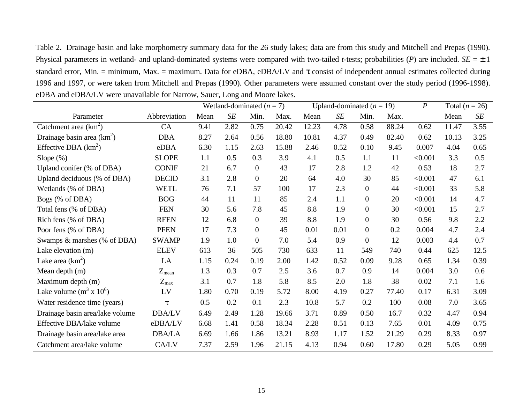Table 2. Drainage basin and lake morphometry summary data for the 26 study lakes; data are from this study and Mitchell and Prepas (1990). Physical parameters in wetland- and upland-dominated systems were compared with two-tailed *t*-tests; probabilities (*P*) are included.  $SE = \pm 1$ standard error, Min. = minimum, Max. = maximum. Data for eDBA, eDBA/LV and  $\tau$  consist of independent annual estimates collected during 1996 and 1997, or were taken from Mitchell and Prepas (1990). Other parameters were assumed constant over the study period (1996-1998). eDBA and eDBA/LV were unavailable for Narrow, Sauer, Long and Moore lakes.

|                                 |               |      | Wetland-dominated $(n = 7)$ |                  |       |       | Upland-dominated $(n = 19)$ |                  |       | $\boldsymbol{P}$ | Total $(n = 26)$ |      |
|---------------------------------|---------------|------|-----------------------------|------------------|-------|-------|-----------------------------|------------------|-------|------------------|------------------|------|
| Parameter                       | Abbreviation  | Mean | SE                          | Min.             | Max.  | Mean  | $\cal SE$                   | Min.             | Max.  |                  | Mean             | SE   |
| Catchment area $(km^2)$         | CA            | 9.41 | 2.82                        | 0.75             | 20.42 | 12.23 | 4.78                        | 0.58             | 88.24 | 0.62             | 11.47            | 3.55 |
| Drainage basin area $(km^2)$    | <b>DBA</b>    | 8.27 | 2.64                        | 0.56             | 18.80 | 10.81 | 4.37                        | 0.49             | 82.40 | 0.62             | 10.13            | 3.25 |
| Effective DBA $(km^2)$          | eDBA          | 6.30 | 1.15                        | 2.63             | 15.88 | 2.46  | 0.52                        | 0.10             | 9.45  | 0.007            | 4.04             | 0.65 |
| Slope $(\%)$                    | <b>SLOPE</b>  | 1.1  | 0.5                         | 0.3              | 3.9   | 4.1   | 0.5                         | 1.1              | 11    | < 0.001          | 3.3              | 0.5  |
| Upland conifer (% of DBA)       | <b>CONIF</b>  | 21   | 6.7                         | $\boldsymbol{0}$ | 43    | 17    | 2.8                         | 1.2              | 42    | 0.53             | 18               | 2.7  |
| Upland deciduous (% of DBA)     | <b>DECID</b>  | 3.1  | 2.8                         | $\boldsymbol{0}$ | 20    | 64    | 4.0                         | 30               | 85    | < 0.001          | 47               | 6.1  |
| Wetlands (% of DBA)             | <b>WETL</b>   | 76   | 7.1                         | 57               | 100   | 17    | 2.3                         | $\boldsymbol{0}$ | 44    | < 0.001          | 33               | 5.8  |
| Bogs (% of DBA)                 | <b>BOG</b>    | 44   | 11                          | 11               | 85    | 2.4   | 1.1                         | $\boldsymbol{0}$ | 20    | < 0.001          | 14               | 4.7  |
| Total fens (% of DBA)           | <b>FEN</b>    | 30   | 5.6                         | 7.8              | 45    | 8.8   | 1.9                         | $\boldsymbol{0}$ | 30    | < 0.001          | 15               | 2.7  |
| Rich fens (% of DBA)            | <b>RFEN</b>   | 12   | 6.8                         | $\boldsymbol{0}$ | 39    | 8.8   | 1.9                         | $\boldsymbol{0}$ | 30    | 0.56             | 9.8              | 2.2  |
| Poor fens (% of DBA)            | <b>PFEN</b>   | 17   | 7.3                         | $\boldsymbol{0}$ | 45    | 0.01  | 0.01                        | $\boldsymbol{0}$ | 0.2   | 0.004            | 4.7              | 2.4  |
| Swamps & marshes (% of DBA)     | <b>SWAMP</b>  | 1.9  | 1.0                         | $\boldsymbol{0}$ | 7.0   | 5.4   | 0.9                         | $\boldsymbol{0}$ | 12    | 0.003            | 4.4              | 0.7  |
| Lake elevation (m)              | <b>ELEV</b>   | 613  | 36                          | 505              | 730   | 633   | 11                          | 549              | 740   | 0.44             | 625              | 12.5 |
| Lake area $(km^2)$              | LA            | 1.15 | 0.24                        | 0.19             | 2.00  | 1.42  | 0.52                        | 0.09             | 9.28  | 0.65             | 1.34             | 0.39 |
| Mean depth (m)                  | $Z_{mean}$    | 1.3  | 0.3                         | 0.7              | 2.5   | 3.6   | 0.7                         | 0.9              | 14    | 0.004            | 3.0              | 0.6  |
| Maximum depth (m)               | $Z_{\rm max}$ | 3.1  | 0.7                         | 1.8              | 5.8   | 8.5   | 2.0                         | 1.8              | 38    | 0.02             | 7.1              | 1.6  |
| Lake volume $(m^3 x 10^6)$      | LV            | 1.80 | 0.70                        | 0.19             | 5.72  | 8.00  | 4.19                        | 0.27             | 77.40 | 0.17             | 6.31             | 3.09 |
| Water residence time (years)    | τ             | 0.5  | 0.2                         | 0.1              | 2.3   | 10.8  | 5.7                         | 0.2              | 100   | 0.08             | 7.0              | 3.65 |
| Drainage basin area/lake volume | DBA/LV        | 6.49 | 2.49                        | 1.28             | 19.66 | 3.71  | 0.89                        | 0.50             | 16.7  | 0.32             | 4.47             | 0.94 |
| Effective DBA/lake volume       | eDBA/LV       | 6.68 | 1.41                        | 0.58             | 18.34 | 2.28  | 0.51                        | 0.13             | 7.65  | 0.01             | 4.09             | 0.75 |
| Drainage basin area/lake area   | <b>DBA/LA</b> | 6.69 | 1.66                        | 1.86             | 13.21 | 8.93  | 1.17                        | 1.52             | 21.29 | 0.29             | 8.33             | 0.97 |
| Catchment area/lake volume      | CA/LV         | 7.37 | 2.59                        | 1.96             | 21.15 | 4.13  | 0.94                        | 0.60             | 17.80 | 0.29             | 5.05             | 0.99 |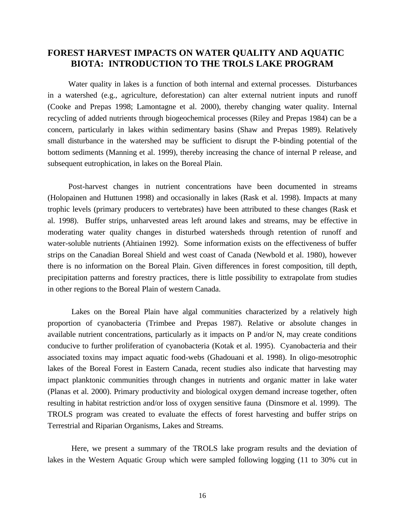## **FOREST HARVEST IMPACTS ON WATER QUALITY AND AQUATIC BIOTA: INTRODUCTION TO THE TROLS LAKE PROGRAM**

Water quality in lakes is a function of both internal and external processes. Disturbances in a watershed (e.g., agriculture, deforestation) can alter external nutrient inputs and runoff (Cooke and Prepas 1998; Lamontagne et al. 2000), thereby changing water quality. Internal recycling of added nutrients through biogeochemical processes (Riley and Prepas 1984) can be a concern, particularly in lakes within sedimentary basins (Shaw and Prepas 1989). Relatively small disturbance in the watershed may be sufficient to disrupt the P-binding potential of the bottom sediments (Manning et al. 1999), thereby increasing the chance of internal P release, and subsequent eutrophication, in lakes on the Boreal Plain.

Post-harvest changes in nutrient concentrations have been documented in streams (Holopainen and Huttunen 1998) and occasionally in lakes (Rask et al. 1998). Impacts at many trophic levels (primary producers to vertebrates) have been attributed to these changes (Rask et al. 1998). Buffer strips, unharvested areas left around lakes and streams, may be effective in moderating water quality changes in disturbed watersheds through retention of runoff and water-soluble nutrients (Ahtiainen 1992). Some information exists on the effectiveness of buffer strips on the Canadian Boreal Shield and west coast of Canada (Newbold et al. 1980), however there is no information on the Boreal Plain. Given differences in forest composition, till depth, precipitation patterns and forestry practices, there is little possibility to extrapolate from studies in other regions to the Boreal Plain of western Canada.

Lakes on the Boreal Plain have algal communities characterized by a relatively high proportion of cyanobacteria (Trimbee and Prepas 1987). Relative or absolute changes in available nutrient concentrations, particularly as it impacts on P and/or N, may create conditions conducive to further proliferation of cyanobacteria (Kotak et al. 1995). Cyanobacteria and their associated toxins may impact aquatic food-webs (Ghadouani et al. 1998). In oligo-mesotrophic lakes of the Boreal Forest in Eastern Canada, recent studies also indicate that harvesting may impact planktonic communities through changes in nutrients and organic matter in lake water (Planas et al. 2000). Primary productivity and biological oxygen demand increase together, often resulting in habitat restriction and/or loss of oxygen sensitive fauna (Dinsmore et al. 1999). The TROLS program was created to evaluate the effects of forest harvesting and buffer strips on Terrestrial and Riparian Organisms, Lakes and Streams.

Here, we present a summary of the TROLS lake program results and the deviation of lakes in the Western Aquatic Group which were sampled following logging (11 to 30% cut in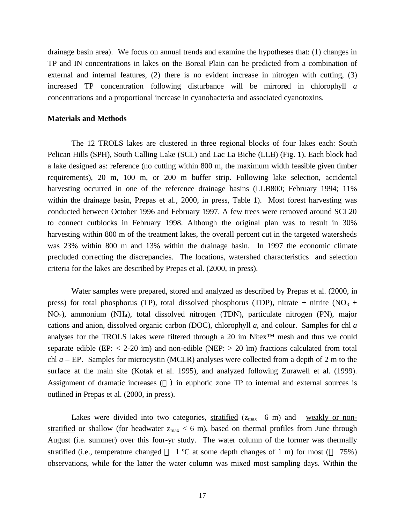drainage basin area). We focus on annual trends and examine the hypotheses that: (1) changes in TP and IN concentrations in lakes on the Boreal Plain can be predicted from a combination of external and internal features, (2) there is no evident increase in nitrogen with cutting, (3) increased TP concentration following disturbance will be mirrored in chlorophyll *a* concentrations and a proportional increase in cyanobacteria and associated cyanotoxins.

#### **Materials and Methods**

The 12 TROLS lakes are clustered in three regional blocks of four lakes each: South Pelican Hills (SPH), South Calling Lake (SCL) and Lac La Biche (LLB) (Fig. 1). Each block had a lake designed as: reference (no cutting within 800 m, the maximum width feasible given timber requirements), 20 m, 100 m, or 200 m buffer strip. Following lake selection, accidental harvesting occurred in one of the reference drainage basins (LLB800; February 1994; 11% within the drainage basin, Prepas et al., 2000, in press, Table 1). Most forest harvesting was conducted between October 1996 and February 1997. A few trees were removed around SCL20 to connect cutblocks in February 1998. Although the original plan was to result in 30% harvesting within 800 m of the treatment lakes, the overall percent cut in the targeted watersheds was 23% within 800 m and 13% within the drainage basin. In 1997 the economic climate precluded correcting the discrepancies. The locations, watershed characteristics and selection criteria for the lakes are described by Prepas et al. (2000, in press).

Water samples were prepared, stored and analyzed as described by Prepas et al. (2000, in press) for total phosphorus (TP), total dissolved phosphorus (TDP), nitrate + nitrite ( $NO<sub>3</sub>$  + NO2), ammonium (NH4), total dissolved nitrogen (TDN), particulate nitrogen (PN), major cations and anion, dissolved organic carbon (DOC), chlorophyll *a*, and colour. Samples for chl *a* analyses for the TROLS lakes were filtered through a 20 ìm Nitex™ mesh and thus we could separate edible (EP:  $< 2-20$  ìm) and non-edible (NEP:  $> 20$  ìm) fractions calculated from total chl *a* – EP. Samples for microcystin (MCLR) analyses were collected from a depth of 2 m to the surface at the main site (Kotak et al. 1995), and analyzed following Zurawell et al. (1999). Assignment of dramatic increases ( ) in euphotic zone TP to internal and external sources is outlined in Prepas et al. (2000, in press).

Lakes were divided into two categories, stratified  $(z_{max}$  6 m) and weakly or nonstratified or shallow (for headwater  $z_{max} < 6$  m), based on thermal profiles from June through August (i.e. summer) over this four-yr study. The water column of the former was thermally stratified (i.e., temperature changed  $1 \text{ °C}$  at some depth changes of 1 m) for most ( $75\%$ ) observations, while for the latter the water column was mixed most sampling days. Within the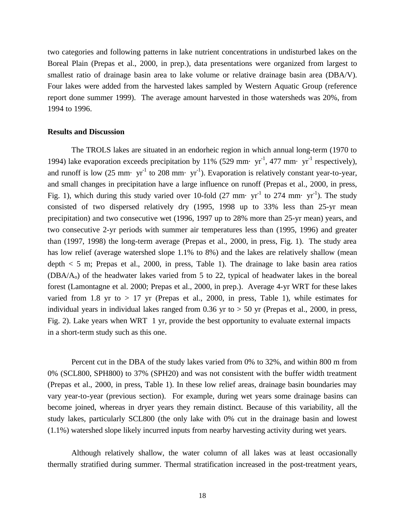two categories and following patterns in lake nutrient concentrations in undisturbed lakes on the Boreal Plain (Prepas et al., 2000, in prep.), data presentations were organized from largest to smallest ratio of drainage basin area to lake volume or relative drainage basin area (DBA/V). Four lakes were added from the harvested lakes sampled by Western Aquatic Group (reference report done summer 1999). The average amount harvested in those watersheds was 20%, from 1994 to 1996.

#### **Results and Discussion**

The TROLS lakes are situated in an endorheic region in which annual long-term (1970 to 1994) lake evaporation exceeds precipitation by 11% (529 mm·  $yr^{-1}$ , 477 mm·  $yr^{-1}$  respectively), and runoff is low  $(25 \text{ mm} \cdot \text{ yr}^{-1})$  to  $208 \text{ mm} \cdot \text{ yr}^{-1}$ ). Evaporation is relatively constant year-to-year, and small changes in precipitation have a large influence on runoff (Prepas et al., 2000, in press, Fig. 1), which during this study varied over 10-fold (27 mm·  $yr^{-1}$  to 274 mm·  $yr^{-1}$ ). The study consisted of two dispersed relatively dry (1995, 1998 up to 33% less than 25-yr mean precipitation) and two consecutive wet (1996, 1997 up to 28% more than 25-yr mean) years, and two consecutive 2-yr periods with summer air temperatures less than (1995, 1996) and greater than (1997, 1998) the long-term average (Prepas et al., 2000, in press, Fig. 1). The study area has low relief (average watershed slope 1.1% to 8%) and the lakes are relatively shallow (mean depth  $< 5$  m; Prepas et al., 2000, in press, Table 1). The drainage to lake basin area ratios (DBA/Ao) of the headwater lakes varied from 5 to 22, typical of headwater lakes in the boreal forest (Lamontagne et al. 2000; Prepas et al., 2000, in prep.). Average 4-yr WRT for these lakes varied from 1.8 yr to  $> 17$  yr (Prepas et al., 2000, in press, Table 1), while estimates for individual years in individual lakes ranged from  $0.36$  yr to  $> 50$  yr (Prepas et al., 2000, in press, Fig. 2). Lake years when WRT 1 yr, provide the best opportunity to evaluate external impacts in a short-term study such as this one.

Percent cut in the DBA of the study lakes varied from 0% to 32%, and within 800 m from 0% (SCL800, SPH800) to 37% (SPH20) and was not consistent with the buffer width treatment (Prepas et al., 2000, in press, Table 1). In these low relief areas, drainage basin boundaries may vary year-to-year (previous section). For example, during wet years some drainage basins can become joined, whereas in dryer years they remain distinct. Because of this variability, all the study lakes, particularly SCL800 (the only lake with 0% cut in the drainage basin and lowest (1.1%) watershed slope likely incurred inputs from nearby harvesting activity during wet years.

Although relatively shallow, the water column of all lakes was at least occasionally thermally stratified during summer. Thermal stratification increased in the post-treatment years,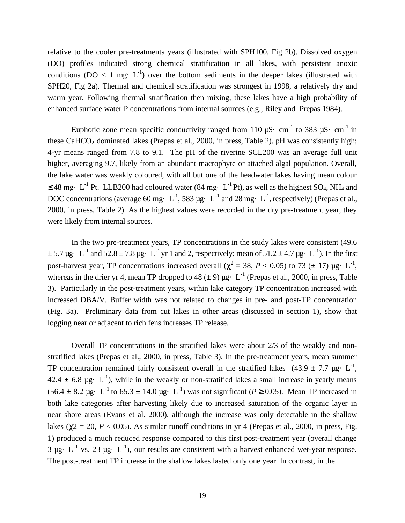relative to the cooler pre-treatments years (illustrated with SPH100, Fig 2b). Dissolved oxygen (DO) profiles indicated strong chemical stratification in all lakes, with persistent anoxic conditions ( $DO < 1$  mg·  $L^{-1}$ ) over the bottom sediments in the deeper lakes (illustrated with SPH20, Fig 2a). Thermal and chemical stratification was strongest in 1998, a relatively dry and warm year. Following thermal stratification then mixing, these lakes have a high probability of enhanced surface water P concentrations from internal sources (e.g., Riley and Prepas 1984).

Euphotic zone mean specific conductivity ranged from 110  $\mu$ S· cm<sup>-1</sup> to 383  $\mu$ S· cm<sup>-1</sup> in these CaHCO<sub>2</sub> dominated lakes (Prepas et al., 2000, in press, Table 2). pH was consistently high; 4-yr means ranged from 7.8 to 9.1. The pH of the riverine SCL200 was an average full unit higher, averaging 9.7, likely from an abundant macrophyte or attached algal population. Overall, the lake water was weakly coloured, with all but one of the headwater lakes having mean colour  $\leq$  48 mg· L<sup>-1</sup> Pt. LLB200 had coloured water (84 mg· L<sup>-1</sup> Pt), as well as the highest SO<sub>4</sub>, NH<sub>4</sub> and DOC concentrations (average 60 mg·  $L^{-1}$ , 583 µg·  $L^{-1}$  and 28 mg·  $L^{-1}$ , respectively) (Prepas et al., 2000, in press, Table 2). As the highest values were recorded in the dry pre-treatment year, they were likely from internal sources.

In the two pre-treatment years, TP concentrations in the study lakes were consistent (49.6  $\pm$  5.7 µg· L<sup>-1</sup> and 52.8  $\pm$  7.8 µg· L<sup>-1</sup> yr 1 and 2, respectively; mean of 51.2  $\pm$  4.7 µg· L<sup>-1</sup>). In the first post-harvest year, TP concentrations increased overall ( $\chi^2 = 38$ ,  $P < 0.05$ ) to 73 ( $\pm$  17)  $\mu$ g· L<sup>-1</sup>, whereas in the drier yr 4, mean TP dropped to 48 ( $\pm$  9)  $\mu$ g· L<sup>-1</sup> (Prepas et al., 2000, in press, Table 3). Particularly in the post-treatment years, within lake category TP concentration increased with increased DBA/V. Buffer width was not related to changes in pre- and post-TP concentration (Fig. 3a). Preliminary data from cut lakes in other areas (discussed in section 1), show that logging near or adjacent to rich fens increases TP release.

Overall TP concentrations in the stratified lakes were about 2/3 of the weakly and nonstratified lakes (Prepas et al., 2000, in press, Table 3). In the pre-treatment years, mean summer TP concentration remained fairly consistent overall in the stratified lakes  $(43.9 \pm 7.7 \text{ µg} \cdot \text{L}^{-1})$ ,  $42.4 \pm 6.8$  µg· L<sup>-1</sup>), while in the weakly or non-stratified lakes a small increase in yearly means  $(56.4 \pm 8.2 \,\mu\text{g} \cdot \text{L}^{-1} \text{ to } 65.3 \pm 14.0 \,\mu\text{g} \cdot \text{L}^{-1})$  was not significant ( $P \ge 0.05$ ). Mean TP increased in both lake categories after harvesting likely due to increased saturation of the organic layer in near shore areas (Evans et al. 2000), although the increase was only detectable in the shallow lakes ( $\chi$ 2 = 20, *P* < 0.05). As similar runoff conditions in yr 4 (Prepas et al., 2000, in press, Fig. 1) produced a much reduced response compared to this first post-treatment year (overall change  $3 \mu$ g· L<sup>-1</sup> vs. 23  $\mu$ g· L<sup>-1</sup>), our results are consistent with a harvest enhanced wet-year response. The post-treatment TP increase in the shallow lakes lasted only one year. In contrast, in the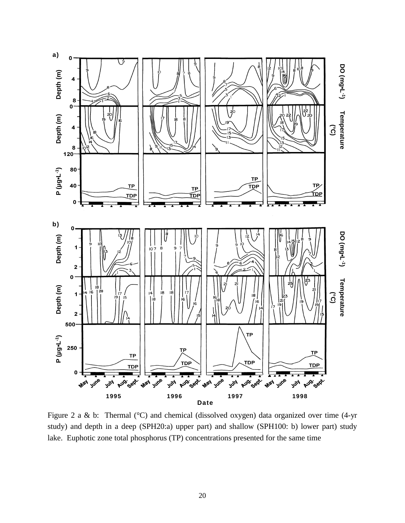

Figure 2 a & b: Thermal (°C) and chemical (dissolved oxygen) data organized over time (4-yr study) and depth in a deep (SPH20:a) upper part) and shallow (SPH100: b) lower part) study lake. Euphotic zone total phosphorus (TP) concentrations presented for the same time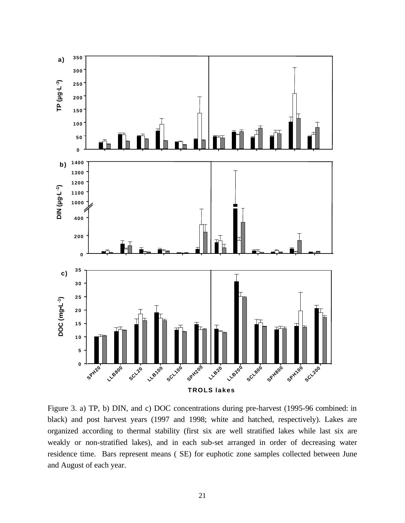

Figure 3. a) TP, b) DIN, and c) DOC concentrations during pre-harvest (1995-96 combined: in black) and post harvest years (1997 and 1998; white and hatched, respectively). Lakes are organized according to thermal stability (first six are well stratified lakes while last six are weakly or non-stratified lakes), and in each sub-set arranged in order of decreasing water residence time. Bars represent means ( SE) for euphotic zone samples collected between June and August of each year.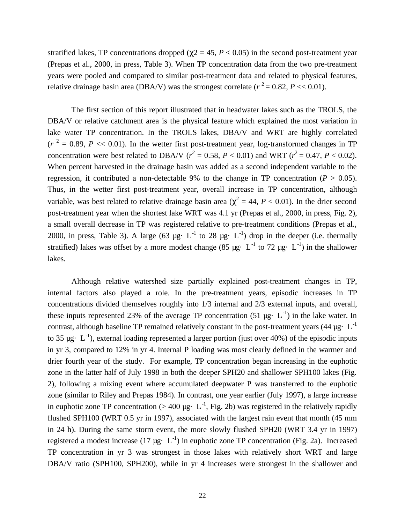stratified lakes, TP concentrations dropped ( $\chi$ 2 = 45, *P* < 0.05) in the second post-treatment year (Prepas et al., 2000, in press, Table 3). When TP concentration data from the two pre-treatment years were pooled and compared to similar post-treatment data and related to physical features, relative drainage basin area (DBA/V) was the strongest correlate ( $r^2 = 0.82$ ,  $P \ll 0.01$ ).

The first section of this report illustrated that in headwater lakes such as the TROLS, the DBA/V or relative catchment area is the physical feature which explained the most variation in lake water TP concentration. In the TROLS lakes, DBA/V and WRT are highly correlated  $(r<sup>2</sup> = 0.89, P \ll 0.01)$ . In the wetter first post-treatment year, log-transformed changes in TP concentration were best related to DBA/V ( $r^2 = 0.58$ ,  $P < 0.01$ ) and WRT ( $r^2 = 0.47$ ,  $P < 0.02$ ). When percent harvested in the drainage basin was added as a second independent variable to the regression, it contributed a non-detectable 9% to the change in TP concentration ( $P > 0.05$ ). Thus, in the wetter first post-treatment year, overall increase in TP concentration, although variable, was best related to relative drainage basin area ( $\chi^2 = 44$ ,  $P < 0.01$ ). In the drier second post-treatment year when the shortest lake WRT was 4.1 yr (Prepas et al., 2000, in press, Fig. 2), a small overall decrease in TP was registered relative to pre-treatment conditions (Prepas et al., 2000, in press, Table 3). A large (63  $\mu$ g· L<sup>-1</sup> to 28  $\mu$ g· L<sup>-1</sup>) drop in the deeper (i.e. thermally stratified) lakes was offset by a more modest change (85  $\mu$ g· L<sup>-1</sup> to 72  $\mu$ g· L<sup>-1</sup>) in the shallower lakes.

Although relative watershed size partially explained post-treatment changes in TP, internal factors also played a role. In the pre-treatment years, episodic increases in TP concentrations divided themselves roughly into 1/3 internal and 2/3 external inputs, and overall, these inputs represented 23% of the average TP concentration (51  $\mu$ g· L<sup>-1</sup>) in the lake water. In contrast, although baseline TP remained relatively constant in the post-treatment years (44  $\mu$ g·L<sup>-1</sup> to 35  $\mu$ g· L<sup>-1</sup>), external loading represented a larger portion (just over 40%) of the episodic inputs in yr 3, compared to 12% in yr 4. Internal P loading was most clearly defined in the warmer and drier fourth year of the study. For example, TP concentration began increasing in the euphotic zone in the latter half of July 1998 in both the deeper SPH20 and shallower SPH100 lakes (Fig. 2), following a mixing event where accumulated deepwater P was transferred to the euphotic zone (similar to Riley and Prepas 1984). In contrast, one year earlier (July 1997), a large increase in euphotic zone TP concentration ( $> 400 \mu$ g· L<sup>-1</sup>, Fig. 2b) was registered in the relatively rapidly flushed SPH100 (WRT 0.5 yr in 1997), associated with the largest rain event that month (45 mm in 24 h). During the same storm event, the more slowly flushed SPH20 (WRT 3.4 yr in 1997) registered a modest increase (17  $\mu$ g· L<sup>-1</sup>) in euphotic zone TP concentration (Fig. 2a). Increased TP concentration in yr 3 was strongest in those lakes with relatively short WRT and large DBA/V ratio (SPH100, SPH200), while in yr 4 increases were strongest in the shallower and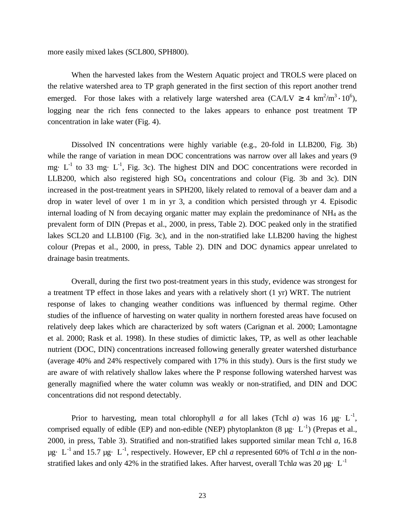more easily mixed lakes (SCL800, SPH800).

When the harvested lakes from the Western Aquatic project and TROLS were placed on the relative watershed area to TP graph generated in the first section of this report another trend emerged. For those lakes with a relatively large watershed area (CA/LV  $\geq 4$  km<sup>2</sup>/m<sup>3</sup> · 10<sup>6</sup>), logging near the rich fens connected to the lakes appears to enhance post treatment TP concentration in lake water (Fig. 4).

Dissolved IN concentrations were highly variable (e.g., 20-fold in LLB200, Fig. 3b) while the range of variation in mean DOC concentrations was narrow over all lakes and years (9 mg $\cdot$  L<sup>-1</sup> to 33 mg $\cdot$  L<sup>-1</sup>, Fig. 3c). The highest DIN and DOC concentrations were recorded in LLB200, which also registered high  $SO_4$  concentrations and colour (Fig. 3b and 3c). DIN increased in the post-treatment years in SPH200, likely related to removal of a beaver dam and a drop in water level of over 1 m in yr 3, a condition which persisted through yr 4. Episodic internal loading of N from decaying organic matter may explain the predominance of NH4 as the prevalent form of DIN (Prepas et al., 2000, in press, Table 2). DOC peaked only in the stratified lakes SCL20 and LLB100 (Fig. 3c), and in the non-stratified lake LLB200 having the highest colour (Prepas et al., 2000, in press, Table 2). DIN and DOC dynamics appear unrelated to drainage basin treatments.

Overall, during the first two post-treatment years in this study, evidence was strongest for a treatment TP effect in those lakes and years with a relatively short (1 yr) WRT. The nutrient response of lakes to changing weather conditions was influenced by thermal regime. Other studies of the influence of harvesting on water quality in northern forested areas have focused on relatively deep lakes which are characterized by soft waters (Carignan et al. 2000; Lamontagne et al. 2000; Rask et al. 1998). In these studies of dimictic lakes, TP, as well as other leachable nutrient (DOC, DIN) concentrations increased following generally greater watershed disturbance (average 40% and 24% respectively compared with 17% in this study). Ours is the first study we are aware of with relatively shallow lakes where the P response following watershed harvest was generally magnified where the water column was weakly or non-stratified, and DIN and DOC concentrations did not respond detectably.

Prior to harvesting, mean total chlorophyll *a* for all lakes (Tchl *a*) was 16  $\mu$ g· L<sup>-1</sup>, comprised equally of edible (EP) and non-edible (NEP) phytoplankton (8  $\mu$ g· L<sup>-1</sup>) (Prepas et al., 2000, in press, Table 3). Stratified and non-stratified lakes supported similar mean Tchl *a*, 16.8  $\mu$ g· L<sup>-1</sup> and 15.7  $\mu$ g· L<sup>-1</sup>, respectively. However, EP chl *a* represented 60% of Tchl *a* in the nonstratified lakes and only 42% in the stratified lakes. After harvest, overall Tchla was 20  $\mu$ g· L<sup>-1</sup>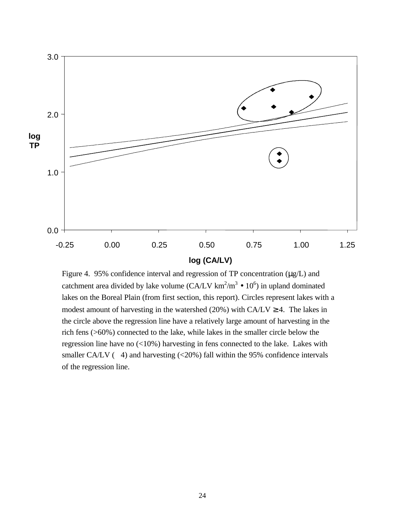

## **log (CA/LV)**

Figure 4. 95% confidence interval and regression of TP concentration (μg/L) and catchment area divided by lake volume  $(CA/LV km^2/m^3 \bullet 10^6)$  in upland dominated lakes on the Boreal Plain (from first section, this report). Circles represent lakes with a modest amount of harvesting in the watershed (20%) with  $CA/LV \ge 4$ . The lakes in the circle above the regression line have a relatively large amount of harvesting in the rich fens (>60%) connected to the lake, while lakes in the smaller circle below the regression line have no  $\left($ <10%) harvesting in fens connected to the lake. Lakes with smaller CA/LV  $(4)$  and harvesting  $(<20\%)$  fall within the 95% confidence intervals of the regression line.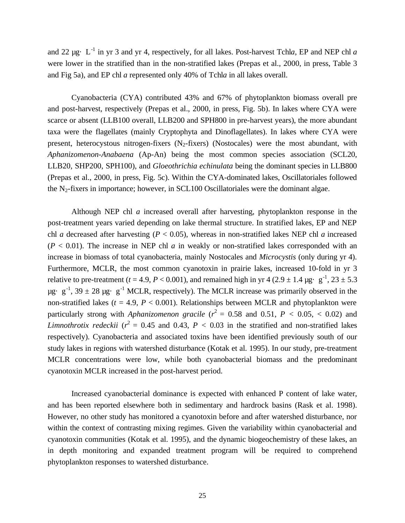and 22 µg· L<sup>-1</sup> in yr 3 and yr 4, respectively, for all lakes. Post-harvest Tchla, EP and NEP chl a were lower in the stratified than in the non-stratified lakes (Prepas et al., 2000, in press, Table 3 and Fig 5a), and EP chl *a* represented only 40% of Tchl*a* in all lakes overall.

Cyanobacteria (CYA) contributed 43% and 67% of phytoplankton biomass overall pre and post-harvest, respectively (Prepas et al., 2000, in press, Fig. 5b). In lakes where CYA were scarce or absent (LLB100 overall, LLB200 and SPH800 in pre-harvest years), the more abundant taxa were the flagellates (mainly Cryptophyta and Dinoflagellates). In lakes where CYA were present, heterocystous nitrogen-fixers  $(N<sub>2</sub>-fixers)$  (Nostocales) were the most abundant, with *Aphanizomenon-Anabaena* (Ap-An) being the most common species association (SCL20, LLB20, SHP200, SPH100), and *Gloeothrichia echinulata* being the dominant species in LLB800 (Prepas et al., 2000, in press, Fig. 5c). Within the CYA-dominated lakes, Oscillatoriales followed the  $N_2$ -fixers in importance; however, in SCL100 Oscillatoriales were the dominant algae.

Although NEP chl *a* increased overall after harvesting, phytoplankton response in the post-treatment years varied depending on lake thermal structure. In stratified lakes, EP and NEP chl *a* decreased after harvesting ( $P < 0.05$ ), whereas in non-stratified lakes NEP chl *a* increased  $(P < 0.01)$ . The increase in NEP chl *a* in weakly or non-stratified lakes corresponded with an increase in biomass of total cyanobacteria, mainly Nostocales and *Microcystis* (only during yr 4). Furthermore, MCLR, the most common cyanotoxin in prairie lakes, increased 10-fold in yr 3 relative to pre-treatment ( $t = 4.9, P < 0.001$ ), and remained high in yr  $4(2.9 \pm 1.4 \,\text{µg} \cdot \text{ g}^{-1}, 23 \pm 5.3 \cdot \text{m}^{-1})$  $\mu$ g· g<sup>-1</sup>, 39  $\pm$  28  $\mu$ g· g<sup>-1</sup> MCLR, respectively). The MCLR increase was primarily observed in the non-stratified lakes ( $t = 4.9$ ,  $P < 0.001$ ). Relationships between MCLR and phytoplankton were particularly strong with *Aphanizomenon gracile* ( $r^2 = 0.58$  and 0.51,  $P < 0.05, < 0.02$ ) and *Limnothrotix redeckii* ( $r^2 = 0.45$  and 0.43,  $P < 0.03$  in the stratified and non-stratified lakes respectively). Cyanobacteria and associated toxins have been identified previously south of our study lakes in regions with watershed disturbance (Kotak et al. 1995). In our study, pre-treatment MCLR concentrations were low, while both cyanobacterial biomass and the predominant cyanotoxin MCLR increased in the post-harvest period.

Increased cyanobacterial dominance is expected with enhanced P content of lake water, and has been reported elsewhere both in sedimentary and hardrock basins (Rask et al. 1998). However, no other study has monitored a cyanotoxin before and after watershed disturbance, nor within the context of contrasting mixing regimes. Given the variability within cyanobacterial and cyanotoxin communities (Kotak et al. 1995), and the dynamic biogeochemistry of these lakes, an in depth monitoring and expanded treatment program will be required to comprehend phytoplankton responses to watershed disturbance.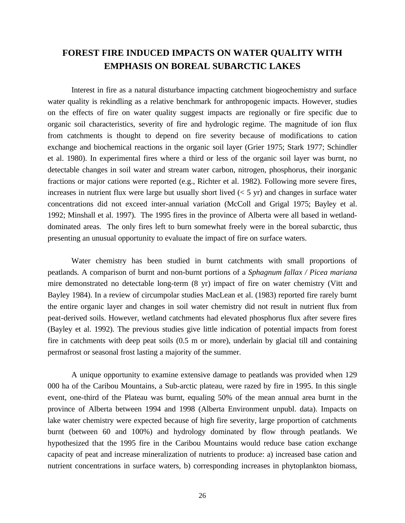## **FOREST FIRE INDUCED IMPACTS ON WATER QUALITY WITH EMPHASIS ON BOREAL SUBARCTIC LAKES**

Interest in fire as a natural disturbance impacting catchment biogeochemistry and surface water quality is rekindling as a relative benchmark for anthropogenic impacts. However, studies on the effects of fire on water quality suggest impacts are regionally or fire specific due to organic soil characteristics, severity of fire and hydrologic regime. The magnitude of ion flux from catchments is thought to depend on fire severity because of modifications to cation exchange and biochemical reactions in the organic soil layer (Grier 1975; Stark 1977; Schindler et al. 1980). In experimental fires where a third or less of the organic soil layer was burnt, no detectable changes in soil water and stream water carbon, nitrogen, phosphorus, their inorganic fractions or major cations were reported (e.g., Richter et al. 1982). Following more severe fires, increases in nutrient flux were large but usually short lived  $(< 5 \text{ yr})$  and changes in surface water concentrations did not exceed inter-annual variation (McColl and Grigal 1975; Bayley et al. 1992; Minshall et al. 1997). The 1995 fires in the province of Alberta were all based in wetlanddominated areas. The only fires left to burn somewhat freely were in the boreal subarctic, thus presenting an unusual opportunity to evaluate the impact of fire on surface waters.

Water chemistry has been studied in burnt catchments with small proportions of peatlands. A comparison of burnt and non-burnt portions of a *Sphagnum fallax / Picea mariana* mire demonstrated no detectable long-term (8 yr) impact of fire on water chemistry (Vitt and Bayley 1984). In a review of circumpolar studies MacLean et al. (1983) reported fire rarely burnt the entire organic layer and changes in soil water chemistry did not result in nutrient flux from peat-derived soils. However, wetland catchments had elevated phosphorus flux after severe fires (Bayley et al. 1992). The previous studies give little indication of potential impacts from forest fire in catchments with deep peat soils (0.5 m or more), underlain by glacial till and containing permafrost or seasonal frost lasting a majority of the summer.

A unique opportunity to examine extensive damage to peatlands was provided when 129 000 ha of the Caribou Mountains, a Sub-arctic plateau, were razed by fire in 1995. In this single event, one-third of the Plateau was burnt, equaling 50% of the mean annual area burnt in the province of Alberta between 1994 and 1998 (Alberta Environment unpubl. data). Impacts on lake water chemistry were expected because of high fire severity, large proportion of catchments burnt (between 60 and 100%) and hydrology dominated by flow through peatlands. We hypothesized that the 1995 fire in the Caribou Mountains would reduce base cation exchange capacity of peat and increase mineralization of nutrients to produce: a) increased base cation and nutrient concentrations in surface waters, b) corresponding increases in phytoplankton biomass,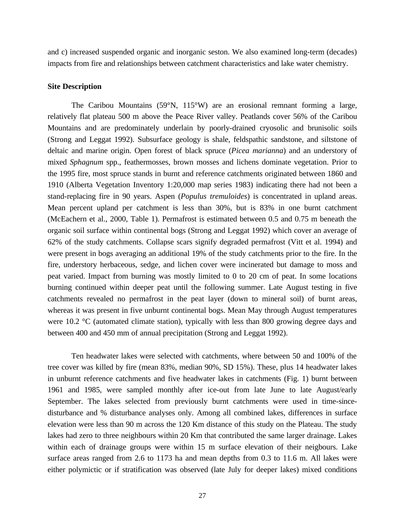and c) increased suspended organic and inorganic seston. We also examined long-term (decades) impacts from fire and relationships between catchment characteristics and lake water chemistry.

#### **Site Description**

The Caribou Mountains (59°N, 115°W) are an erosional remnant forming a large, relatively flat plateau 500 m above the Peace River valley. Peatlands cover 56% of the Caribou Mountains and are predominately underlain by poorly-drained cryosolic and brunisolic soils (Strong and Leggat 1992). Subsurface geology is shale, feldspathic sandstone, and siltstone of deltaic and marine origin. Open forest of black spruce (*Picea marianna*) and an understory of mixed *Sphagnum* spp., feathermosses, brown mosses and lichens dominate vegetation. Prior to the 1995 fire, most spruce stands in burnt and reference catchments originated between 1860 and 1910 (Alberta Vegetation Inventory 1:20,000 map series 1983) indicating there had not been a stand-replacing fire in 90 years. Aspen (*Populus tremuloides*) is concentrated in upland areas. Mean percent upland per catchment is less than 30%, but is 83% in one burnt catchment (McEachern et al., 2000, Table 1). Permafrost is estimated between 0.5 and 0.75 m beneath the organic soil surface within continental bogs (Strong and Leggat 1992) which cover an average of 62% of the study catchments. Collapse scars signify degraded permafrost (Vitt et al. 1994) and were present in bogs averaging an additional 19% of the study catchments prior to the fire. In the fire, understory herbaceous, sedge, and lichen cover were incinerated but damage to moss and peat varied. Impact from burning was mostly limited to 0 to 20 cm of peat. In some locations burning continued within deeper peat until the following summer. Late August testing in five catchments revealed no permafrost in the peat layer (down to mineral soil) of burnt areas, whereas it was present in five unburnt continental bogs. Mean May through August temperatures were 10.2 °C (automated climate station), typically with less than 800 growing degree days and between 400 and 450 mm of annual precipitation (Strong and Leggat 1992).

Ten headwater lakes were selected with catchments, where between 50 and 100% of the tree cover was killed by fire (mean 83%, median 90%, SD 15%). These, plus 14 headwater lakes in unburnt reference catchments and five headwater lakes in catchments (Fig. 1) burnt between 1961 and 1985, were sampled monthly after ice-out from late June to late August/early September. The lakes selected from previously burnt catchments were used in time-sincedisturbance and % disturbance analyses only. Among all combined lakes, differences in surface elevation were less than 90 m across the 120 Km distance of this study on the Plateau. The study lakes had zero to three neighbours within 20 Km that contributed the same larger drainage. Lakes within each of drainage groups were within 15 m surface elevation of their neigbours. Lake surface areas ranged from 2.6 to 1173 ha and mean depths from 0.3 to 11.6 m. All lakes were either polymictic or if stratification was observed (late July for deeper lakes) mixed conditions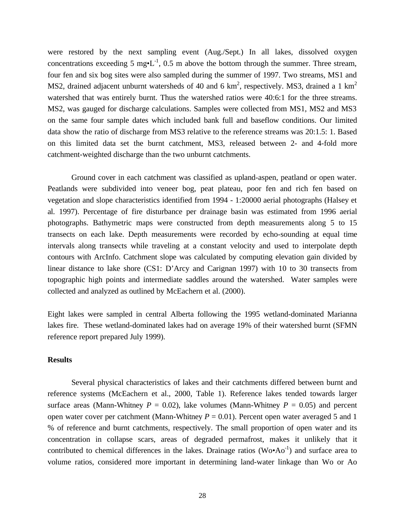were restored by the next sampling event (Aug./Sept.) In all lakes, dissolved oxygen concentrations exceeding 5 mg $\cdot L^{-1}$ , 0.5 m above the bottom through the summer. Three stream, four fen and six bog sites were also sampled during the summer of 1997. Two streams, MS1 and MS2, drained adjacent unburnt watersheds of 40 and 6 km<sup>2</sup>, respectively. MS3, drained a 1 km<sup>2</sup> watershed that was entirely burnt. Thus the watershed ratios were 40:6:1 for the three streams. MS2, was gauged for discharge calculations. Samples were collected from MS1, MS2 and MS3 on the same four sample dates which included bank full and baseflow conditions. Our limited data show the ratio of discharge from MS3 relative to the reference streams was 20:1.5: 1. Based on this limited data set the burnt catchment, MS3, released between 2- and 4-fold more catchment-weighted discharge than the two unburnt catchments.

Ground cover in each catchment was classified as upland-aspen, peatland or open water. Peatlands were subdivided into veneer bog, peat plateau, poor fen and rich fen based on vegetation and slope characteristics identified from 1994 - 1:20000 aerial photographs (Halsey et al. 1997). Percentage of fire disturbance per drainage basin was estimated from 1996 aerial photographs. Bathymetric maps were constructed from depth measurements along 5 to 15 transects on each lake. Depth measurements were recorded by echo-sounding at equal time intervals along transects while traveling at a constant velocity and used to interpolate depth contours with ArcInfo. Catchment slope was calculated by computing elevation gain divided by linear distance to lake shore (CS1: D'Arcy and Carignan 1997) with 10 to 30 transects from topographic high points and intermediate saddles around the watershed. Water samples were collected and analyzed as outlined by McEachern et al. (2000).

Eight lakes were sampled in central Alberta following the 1995 wetland-dominated Marianna lakes fire. These wetland-dominated lakes had on average 19% of their watershed burnt (SFMN reference report prepared July 1999).

#### **Results**

Several physical characteristics of lakes and their catchments differed between burnt and reference systems (McEachern et al., 2000, Table 1). Reference lakes tended towards larger surface areas (Mann-Whitney  $P = 0.02$ ), lake volumes (Mann-Whitney  $P = 0.05$ ) and percent open water cover per catchment (Mann-Whitney  $P = 0.01$ ). Percent open water averaged 5 and 1 % of reference and burnt catchments, respectively. The small proportion of open water and its concentration in collapse scars, areas of degraded permafrost, makes it unlikely that it contributed to chemical differences in the lakes. Drainage ratios ( $Wo \cdot Ao^{-1}$ ) and surface area to volume ratios, considered more important in determining land-water linkage than Wo or Ao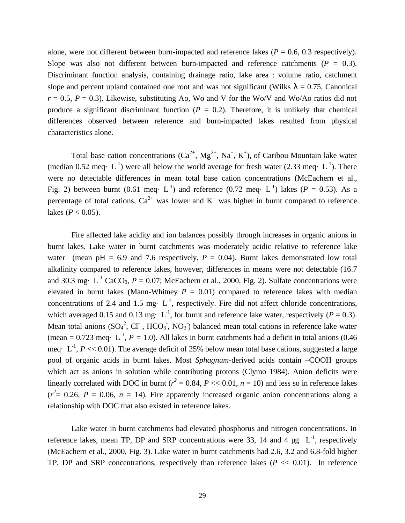alone, were not different between burn-impacted and reference lakes ( $P = 0.6, 0.3$  respectively). Slope was also not different between burn-impacted and reference catchments  $(P = 0.3)$ . Discriminant function analysis, containing drainage ratio, lake area : volume ratio, catchment slope and percent upland contained one root and was not significant (Wilks  $\lambda = 0.75$ , Canonical  $r = 0.5$ ,  $P = 0.3$ ). Likewise, substituting Ao, Wo and V for the Wo/V and Wo/Ao ratios did not produce a significant discriminant function  $(P = 0.2)$ . Therefore, it is unlikely that chemical differences observed between reference and burn-impacted lakes resulted from physical characteristics alone.

Total base cation concentrations  $(Ca^{2+}, Mg^{2+}, Na^+, K^+)$ , of Caribou Mountain lake water (median 0.52 meq $\cdot$  L<sup>-1</sup>) were all below the world average for fresh water (2.33 meq $\cdot$  L<sup>-1</sup>). There were no detectable differences in mean total base cation concentrations (McEachern et al., Fig. 2) between burnt (0.61 meq· L<sup>-1</sup>) and reference (0.72 meq· L<sup>-1</sup>) lakes ( $P = 0.53$ ). As a percentage of total cations,  $Ca^{2+}$  was lower and  $K^+$  was higher in burnt compared to reference lakes ( $P < 0.05$ ).

Fire affected lake acidity and ion balances possibly through increases in organic anions in burnt lakes. Lake water in burnt catchments was moderately acidic relative to reference lake water (mean  $pH = 6.9$  and 7.6 respectively,  $P = 0.04$ ). Burnt lakes demonstrated low total alkalinity compared to reference lakes, however, differences in means were not detectable (16.7 and 30.3 mg·  $L^{-1}$  CaCO<sub>3</sub>,  $P = 0.07$ ; McEachern et al., 2000, Fig. 2). Sulfate concentrations were elevated in burnt lakes (Mann-Whitney  $P = 0.01$ ) compared to reference lakes with median concentrations of 2.4 and 1.5 mg $\cdot$  L<sup>-1</sup>, respectively. Fire did not affect chloride concentrations, which averaged 0.15 and 0.13 mg·  $L^{-1}$ , for burnt and reference lake water, respectively ( $P = 0.3$ ). Mean total anions  $(SO<sub>4</sub><sup>2</sup>, CI, HCO<sub>3</sub>, NO<sub>3</sub>)$  balanced mean total cations in reference lake water (mean =  $0.723$  meq· L<sup>-1</sup>,  $P = 1.0$ ). All lakes in burnt catchments had a deficit in total anions (0.46) meq·  $L^{-1}$ ,  $P \ll 0.01$ ). The average deficit of 25% below mean total base cations, suggested a large pool of organic acids in burnt lakes. Most *Sphagnum*-derived acids contain –COOH groups which act as anions in solution while contributing protons (Clymo 1984). Anion deficits were linearly correlated with DOC in burnt ( $r^2 = 0.84$ ,  $P \ll 0.01$ ,  $n = 10$ ) and less so in reference lakes  $(r^2 = 0.26, P = 0.06, n = 14)$ . Fire apparently increased organic anion concentrations along a relationship with DOC that also existed in reference lakes.

Lake water in burnt catchments had elevated phosphorus and nitrogen concentrations. In reference lakes, mean TP, DP and SRP concentrations were 33, 14 and 4  $\mu$ g  $L^{-1}$ , respectively (McEachern et al., 2000, Fig. 3). Lake water in burnt catchments had 2.6, 3.2 and 6.8-fold higher TP, DP and SRP concentrations, respectively than reference lakes  $(P \ll 0.01)$ . In reference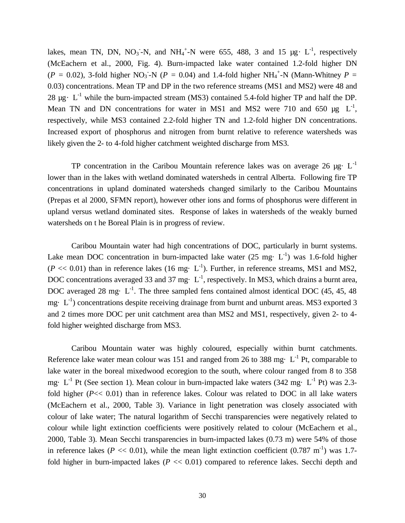lakes, mean TN, DN, NO<sub>3</sub>-N, and NH<sub>4</sub><sup>+</sup>-N were 655, 488, 3 and 15  $\mu$ g· L<sup>-1</sup>, respectively (McEachern et al., 2000, Fig. 4). Burn-impacted lake water contained 1.2-fold higher DN  $(P = 0.02)$ , 3-fold higher NO<sub>3</sub> -N ( $P = 0.04$ ) and 1.4-fold higher NH<sub>4</sub><sup>+</sup>-N (Mann-Whitney  $P =$ 0.03) concentrations. Mean TP and DP in the two reference streams (MS1 and MS2) were 48 and 28  $\mu$ g· L<sup>-1</sup> while the burn-impacted stream (MS3) contained 5.4-fold higher TP and half the DP. Mean TN and DN concentrations for water in MS1 and MS2 were 710 and 650  $\mu$ g L<sup>-1</sup>, respectively, while MS3 contained 2.2-fold higher TN and 1.2-fold higher DN concentrations. Increased export of phosphorus and nitrogen from burnt relative to reference watersheds was likely given the 2- to 4-fold higher catchment weighted discharge from MS3.

TP concentration in the Caribou Mountain reference lakes was on average 26  $\mu$ g· L<sup>-1</sup> lower than in the lakes with wetland dominated watersheds in central Alberta. Following fire TP concentrations in upland dominated watersheds changed similarly to the Caribou Mountains (Prepas et al 2000, SFMN report), however other ions and forms of phosphorus were different in upland versus wetland dominated sites. Response of lakes in watersheds of the weakly burned watersheds on t he Boreal Plain is in progress of review.

Caribou Mountain water had high concentrations of DOC, particularly in burnt systems. Lake mean DOC concentration in burn-impacted lake water  $(25 \text{ mg} \cdot \text{L}^{-1})$  was 1.6-fold higher  $(P \ll 0.01)$  than in reference lakes (16 mg· L<sup>-1</sup>). Further, in reference streams, MS1 and MS2, DOC concentrations averaged 33 and 37 mg $\cdot$  L<sup>-1</sup>, respectively. In MS3, which drains a burnt area, DOC averaged 28 mg $\cdot$  L<sup>-1</sup>. The three sampled fens contained almost identical DOC (45, 45, 48) mg $\cdot$  L<sup>-1</sup>) concentrations despite receiving drainage from burnt and unburnt areas. MS3 exported 3 and 2 times more DOC per unit catchment area than MS2 and MS1, respectively, given 2- to 4 fold higher weighted discharge from MS3.

Caribou Mountain water was highly coloured, especially within burnt catchments. Reference lake water mean colour was 151 and ranged from 26 to 388 mg $\cdot$  L<sup>-1</sup> Pt, comparable to lake water in the boreal mixedwood ecoregion to the south, where colour ranged from 8 to 358 mg·  $L^{-1}$  Pt (See section 1). Mean colour in burn-impacted lake waters (342 mg·  $L^{-1}$  Pt) was 2.3fold higher (*P*<< 0.01) than in reference lakes. Colour was related to DOC in all lake waters (McEachern et al., 2000, Table 3). Variance in light penetration was closely associated with colour of lake water; The natural logarithm of Secchi transparencies were negatively related to colour while light extinction coefficients were positively related to colour (McEachern et al., 2000, Table 3). Mean Secchi transparencies in burn-impacted lakes (0.73 m) were 54% of those in reference lakes ( $P \ll 0.01$ ), while the mean light extinction coefficient (0.787 m<sup>-1</sup>) was 1.7fold higher in burn-impacted lakes ( $P \ll 0.01$ ) compared to reference lakes. Secchi depth and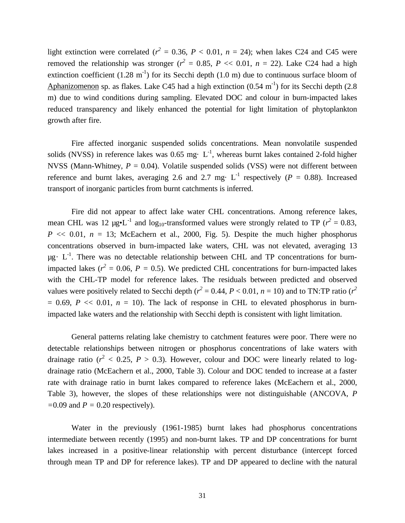light extinction were correlated ( $r^2 = 0.36$ ,  $P < 0.01$ ,  $n = 24$ ); when lakes C24 and C45 were removed the relationship was stronger ( $r^2 = 0.85$ ,  $P \ll 0.01$ ,  $n = 22$ ). Lake C24 had a high extinction coefficient  $(1.28 \text{ m}^{-1})$  for its Secchi depth  $(1.0 \text{ m})$  due to continuous surface bloom of Aphanizomenon sp. as flakes. Lake C45 had a high extinction  $(0.54 \text{ m}^{\text{-1}})$  for its Secchi depth  $(2.8 \text{ m}^{\text{-1}})$ m) due to wind conditions during sampling. Elevated DOC and colour in burn-impacted lakes reduced transparency and likely enhanced the potential for light limitation of phytoplankton growth after fire.

Fire affected inorganic suspended solids concentrations. Mean nonvolatile suspended solids (NVSS) in reference lakes was 0.65 mg·  $L^{-1}$ , whereas burnt lakes contained 2-fold higher NVSS (Mann-Whitney,  $P = 0.04$ ). Volatile suspended solids (VSS) were not different between reference and burnt lakes, averaging 2.6 and 2.7 mg·  $L^{-1}$  respectively ( $P = 0.88$ ). Increased transport of inorganic particles from burnt catchments is inferred.

Fire did not appear to affect lake water CHL concentrations. Among reference lakes, mean CHL was 12  $\mu$ g•L<sup>-1</sup> and log<sub>10</sub>-transformed values were strongly related to TP ( $r^2 = 0.83$ ,  $P \ll 0.01$ ,  $n = 13$ ; McEachern et al., 2000, Fig. 5). Despite the much higher phosphorus concentrations observed in burn-impacted lake waters, CHL was not elevated, averaging 13  $\mu$ g· L<sup>-1</sup>. There was no detectable relationship between CHL and TP concentrations for burnimpacted lakes ( $r^2 = 0.06$ ,  $P = 0.5$ ). We predicted CHL concentrations for burn-impacted lakes with the CHL-TP model for reference lakes. The residuals between predicted and observed values were positively related to Secchi depth ( $r^2 = 0.44$ ,  $P < 0.01$ ,  $n = 10$ ) and to TN:TP ratio ( $r^2$ )  $= 0.69$ ,  $P \ll 0.01$ ,  $n = 10$ ). The lack of response in CHL to elevated phosphorus in burnimpacted lake waters and the relationship with Secchi depth is consistent with light limitation.

General patterns relating lake chemistry to catchment features were poor. There were no detectable relationships between nitrogen or phosphorus concentrations of lake waters with drainage ratio ( $r^2$  < 0.25,  $P > 0.3$ ). However, colour and DOC were linearly related to logdrainage ratio (McEachern et al., 2000, Table 3). Colour and DOC tended to increase at a faster rate with drainage ratio in burnt lakes compared to reference lakes (McEachern et al., 2000, Table 3), however, the slopes of these relationships were not distinguishable (ANCOVA, *P =*0.09 and *P =* 0.20 respectively).

Water in the previously (1961-1985) burnt lakes had phosphorus concentrations intermediate between recently (1995) and non-burnt lakes. TP and DP concentrations for burnt lakes increased in a positive-linear relationship with percent disturbance (intercept forced through mean TP and DP for reference lakes). TP and DP appeared to decline with the natural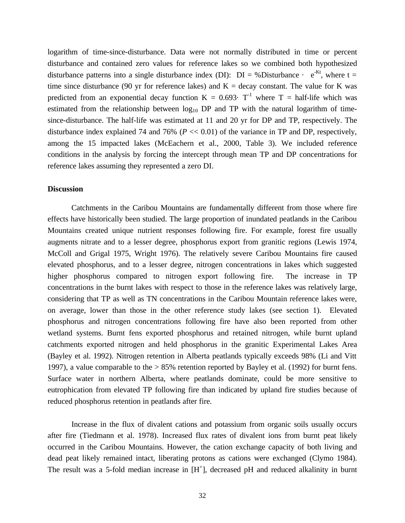logarithm of time-since-disturbance. Data were not normally distributed in time or percent disturbance and contained zero values for reference lakes so we combined both hypothesized disturbance patterns into a single disturbance index (DI):  $DI = \%$ Disturbance ·  $e^{-Kt}$ , where t = time since disturbance (90 yr for reference lakes) and  $K =$  decay constant. The value for K was predicted from an exponential decay function  $K = 0.693$  · T<sup>-1</sup> where T = half-life which was estimated from the relationship between  $log_{10}$  DP and TP with the natural logarithm of timesince-disturbance. The half-life was estimated at 11 and 20 yr for DP and TP, respectively. The disturbance index explained 74 and 76% (*P* << 0.01) of the variance in TP and DP, respectively, among the 15 impacted lakes (McEachern et al., 2000, Table 3). We included reference conditions in the analysis by forcing the intercept through mean TP and DP concentrations for reference lakes assuming they represented a zero DI.

#### **Discussion**

Catchments in the Caribou Mountains are fundamentally different from those where fire effects have historically been studied. The large proportion of inundated peatlands in the Caribou Mountains created unique nutrient responses following fire. For example, forest fire usually augments nitrate and to a lesser degree, phosphorus export from granitic regions (Lewis 1974, McColl and Grigal 1975, Wright 1976). The relatively severe Caribou Mountains fire caused elevated phosphorus, and to a lesser degree, nitrogen concentrations in lakes which suggested higher phosphorus compared to nitrogen export following fire. The increase in TP concentrations in the burnt lakes with respect to those in the reference lakes was relatively large, considering that TP as well as TN concentrations in the Caribou Mountain reference lakes were, on average, lower than those in the other reference study lakes (see section 1). Elevated phosphorus and nitrogen concentrations following fire have also been reported from other wetland systems. Burnt fens exported phosphorus and retained nitrogen, while burnt upland catchments exported nitrogen and held phosphorus in the granitic Experimental Lakes Area (Bayley et al. 1992). Nitrogen retention in Alberta peatlands typically exceeds 98% (Li and Vitt 1997), a value comparable to the > 85% retention reported by Bayley et al. (1992) for burnt fens. Surface water in northern Alberta, where peatlands dominate, could be more sensitive to eutrophication from elevated TP following fire than indicated by upland fire studies because of reduced phosphorus retention in peatlands after fire.

Increase in the flux of divalent cations and potassium from organic soils usually occurs after fire (Tiedmann et al. 1978). Increased flux rates of divalent ions from burnt peat likely occurred in the Caribou Mountains. However, the cation exchange capacity of both living and dead peat likely remained intact, liberating protons as cations were exchanged (Clymo 1984). The result was a 5-fold median increase in [H<sup>+</sup>], decreased pH and reduced alkalinity in burnt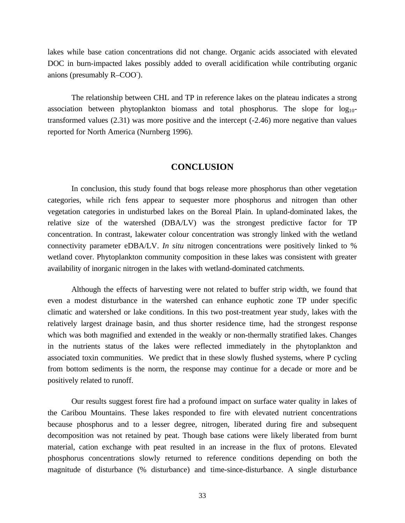lakes while base cation concentrations did not change. Organic acids associated with elevated DOC in burn-impacted lakes possibly added to overall acidification while contributing organic anions (presumably R-COO<sup>-</sup>).

The relationship between CHL and TP in reference lakes on the plateau indicates a strong association between phytoplankton biomass and total phosphorus. The slope for  $log_{10}$ transformed values (2.31) was more positive and the intercept (-2.46) more negative than values reported for North America (Nurnberg 1996).

#### **CONCLUSION**

In conclusion, this study found that bogs release more phosphorus than other vegetation categories, while rich fens appear to sequester more phosphorus and nitrogen than other vegetation categories in undisturbed lakes on the Boreal Plain. In upland-dominated lakes, the relative size of the watershed (DBA/LV) was the strongest predictive factor for TP concentration. In contrast, lakewater colour concentration was strongly linked with the wetland connectivity parameter eDBA/LV. *In situ* nitrogen concentrations were positively linked to % wetland cover. Phytoplankton community composition in these lakes was consistent with greater availability of inorganic nitrogen in the lakes with wetland-dominated catchments.

Although the effects of harvesting were not related to buffer strip width, we found that even a modest disturbance in the watershed can enhance euphotic zone TP under specific climatic and watershed or lake conditions. In this two post-treatment year study, lakes with the relatively largest drainage basin, and thus shorter residence time, had the strongest response which was both magnified and extended in the weakly or non-thermally stratified lakes. Changes in the nutrients status of the lakes were reflected immediately in the phytoplankton and associated toxin communities. We predict that in these slowly flushed systems, where P cycling from bottom sediments is the norm, the response may continue for a decade or more and be positively related to runoff.

Our results suggest forest fire had a profound impact on surface water quality in lakes of the Caribou Mountains. These lakes responded to fire with elevated nutrient concentrations because phosphorus and to a lesser degree, nitrogen, liberated during fire and subsequent decomposition was not retained by peat. Though base cations were likely liberated from burnt material, cation exchange with peat resulted in an increase in the flux of protons. Elevated phosphorus concentrations slowly returned to reference conditions depending on both the magnitude of disturbance (% disturbance) and time-since-disturbance. A single disturbance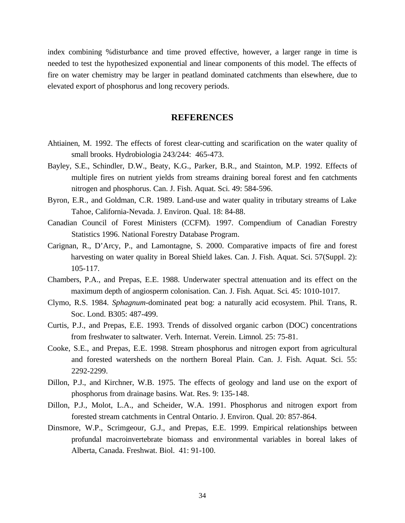index combining %disturbance and time proved effective, however, a larger range in time is needed to test the hypothesized exponential and linear components of this model. The effects of fire on water chemistry may be larger in peatland dominated catchments than elsewhere, due to elevated export of phosphorus and long recovery periods.

#### **REFERENCES**

- Ahtiainen, M. 1992. The effects of forest clear-cutting and scarification on the water quality of small brooks. Hydrobiologia 243/244: 465-473.
- Bayley, S.E., Schindler, D.W., Beaty, K.G., Parker, B.R., and Stainton, M.P. 1992. Effects of multiple fires on nutrient yields from streams draining boreal forest and fen catchments nitrogen and phosphorus. Can. J. Fish. Aquat. Sci. 49: 584-596.
- Byron, E.R., and Goldman, C.R. 1989. Land-use and water quality in tributary streams of Lake Tahoe, California-Nevada. J. Environ. Qual. 18: 84-88.
- Canadian Council of Forest Ministers (CCFM). 1997. Compendium of Canadian Forestry Statistics 1996. National Forestry Database Program.
- Carignan, R., D'Arcy, P., and Lamontagne, S. 2000. Comparative impacts of fire and forest harvesting on water quality in Boreal Shield lakes. Can. J. Fish. Aquat. Sci. 57(Suppl. 2): 105-117.
- Chambers, P.A., and Prepas, E.E. 1988. Underwater spectral attenuation and its effect on the maximum depth of angiosperm colonisation. Can. J. Fish. Aquat. Sci. 45: 1010-1017.
- Clymo, R.S. 1984. *Sphagnum*-dominated peat bog: a naturally acid ecosystem. Phil. Trans, R. Soc. Lond. B305: 487-499.
- Curtis, P.J., and Prepas, E.E. 1993. Trends of dissolved organic carbon (DOC) concentrations from freshwater to saltwater. Verh. Internat. Verein. Limnol. 25: 75-81.
- Cooke, S.E., and Prepas, E.E. 1998. Stream phosphorus and nitrogen export from agricultural and forested watersheds on the northern Boreal Plain. Can. J. Fish. Aquat. Sci. 55: 2292-2299.
- Dillon, P.J., and Kirchner, W.B. 1975. The effects of geology and land use on the export of phosphorus from drainage basins. Wat. Res. 9: 135-148.
- Dillon, P.J., Molot, L.A., and Scheider, W.A. 1991. Phosphorus and nitrogen export from forested stream catchments in Central Ontario. J. Environ. Qual. 20: 857-864.
- Dinsmore, W.P., Scrimgeour, G.J., and Prepas, E.E. 1999. Empirical relationships between profundal macroinvertebrate biomass and environmental variables in boreal lakes of Alberta, Canada. Freshwat. Biol. 41: 91-100.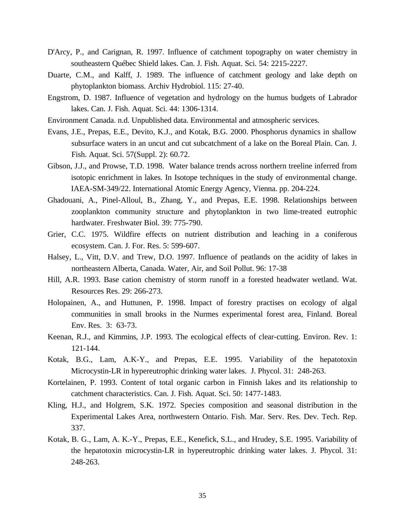- D'Arcy, P., and Carignan, R. 1997. Influence of catchment topography on water chemistry in southeastern Québec Shield lakes. Can. J. Fish. Aquat. Sci. 54: 2215-2227.
- Duarte, C.M., and Kalff, J. 1989. The influence of catchment geology and lake depth on phytoplankton biomass. Archiv Hydrobiol. 115: 27-40.
- Engstrom, D. 1987. Influence of vegetation and hydrology on the humus budgets of Labrador lakes. Can. J. Fish. Aquat. Sci. 44: 1306-1314.
- Environment Canada. n.d. Unpublished data. Environmental and atmospheric services.
- Evans, J.E., Prepas, E.E., Devito, K.J., and Kotak, B.G. 2000. Phosphorus dynamics in shallow subsurface waters in an uncut and cut subcatchment of a lake on the Boreal Plain. Can. J. Fish. Aquat. Sci. 57(Suppl. 2): 60.72.
- Gibson, J.J., and Prowse, T.D. 1998. Water balance trends across northern treeline inferred from isotopic enrichment in lakes. In Isotope techniques in the study of environmental change. IAEA-SM-349/22. International Atomic Energy Agency, Vienna. pp. 204-224.
- Ghadouani, A., Pinel-Alloul, B., Zhang, Y., and Prepas, E.E. 1998. Relationships between zooplankton community structure and phytoplankton in two lime-treated eutrophic hardwater. Freshwater Biol. 39: 775-790.
- Grier, C.C. 1975. Wildfire effects on nutrient distribution and leaching in a coniferous ecosystem. Can. J. For. Res. 5: 599-607.
- Halsey, L., Vitt, D.V. and Trew, D.O. 1997. Influence of peatlands on the acidity of lakes in northeastern Alberta, Canada. Water, Air, and Soil Pollut. 96: 17-38
- Hill, A.R. 1993. Base cation chemistry of storm runoff in a forested headwater wetland. Wat. Resources Res. 29: 266-273.
- Holopainen, A., and Huttunen, P. 1998. Impact of forestry practises on ecology of algal communities in small brooks in the Nurmes experimental forest area, Finland. Boreal Env. Res. 3: 63-73.
- Keenan, R.J., and Kimmins, J.P. 1993. The ecological effects of clear-cutting. Environ. Rev. 1: 121-144.
- Kotak, B.G., Lam, A.K-Y., and Prepas, E.E. 1995. Variability of the hepatotoxin Microcystin-LR in hypereutrophic drinking water lakes. J. Phycol. 31: 248-263.
- Kortelainen, P. 1993. Content of total organic carbon in Finnish lakes and its relationship to catchment characteristics. Can. J. Fish. Aquat. Sci. 50: 1477-1483.
- Kling, H.J., and Holgrem, S.K. 1972. Species composition and seasonal distribution in the Experimental Lakes Area, northwestern Ontario. Fish. Mar. Serv. Res. Dev. Tech. Rep. 337.
- Kotak, B. G., Lam, A. K.-Y., Prepas, E.E., Kenefick, S.L., and Hrudey, S.E. 1995. Variability of the hepatotoxin microcystin-LR in hypereutrophic drinking water lakes. J. Phycol. 31: 248-263.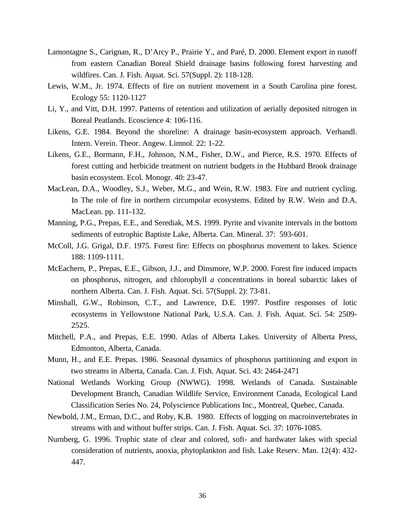- Lamontagne S., Carignan, R., D'Arcy P., Prairie Y., and Paré, D. 2000. Element export in runoff from eastern Canadian Boreal Shield drainage basins following forest harvesting and wildfires. Can. J. Fish. Aquat. Sci. 57(Suppl. 2): 118-128.
- Lewis, W.M., Jr. 1974. Effects of fire on nutrient movement in a South Carolina pine forest. Ecology 55: 1120-1127
- Li, Y., and Vitt, D.H. 1997. Patterns of retention and utilization of aerially deposited nitrogen in Boreal Peatlands. Ecoscience 4: 106-116.
- Likens, G.E. 1984. Beyond the shoreline: A drainage basin-ecosystem approach. Verhandl. Intern. Verein. Theor. Angew. Limnol. 22: 1-22.
- Likens, G.E., Bormann, F.H., Johnson, N.M., Fisher, D.W., and Pierce, R.S. 1970. Effects of forest cutting and herbicide treatment on nutrient budgets in the Hubbard Brook drainage basin ecosystem. Ecol. Monogr. 40: 23-47.
- MacLean, D.A., Woodley, S.J., Weber, M.G., and Wein, R.W. 1983. Fire and nutrient cycling. In The role of fire in northern circumpolar ecosystems. Edited by R.W. Wein and D.A. MacLean. pp. 111-132.
- Manning, P.G., Prepas, E.E., and Serediak, M.S. 1999. Pyrite and vivanite intervals in the bottom sediments of eutrophic Baptiste Lake, Alberta. Can. Mineral. 37: 593-601.
- McColl, J.G. Grigal, D.F. 1975. Forest fire: Effects on phosphorus movement to lakes. Science 188: 1109-1111.
- McEachern, P., Prepas, E.E., Gibson, J.J., and Dinsmore, W.P. 2000. Forest fire induced impacts on phosphorus, nitrogen, and chlorophyll *a* concentrations in boreal subarctic lakes of northern Alberta. Can. J. Fish. Aquat. Sci. 57(Suppl. 2): 73-81.
- Minshall, G.W., Robinson, C.T., and Lawrence, D.E. 1997. Postfire responses of lotic ecosystems in Yellowstone National Park, U.S.A. Can. J. Fish. Aquat. Sci. 54: 2509- 2525.
- Mitchell, P.A., and Prepas, E.E. 1990. Atlas of Alberta Lakes. University of Alberta Press, Edmonton, Alberta, Canada.
- Munn, H., and E.E. Prepas. 1986. Seasonal dynamics of phosphorus partitioning and export in two streams in Alberta, Canada. Can. J. Fish. Aquat. Sci. 43: 2464-2471
- National Wetlands Working Group (NWWG). 1998. Wetlands of Canada. Sustainable Development Branch, Canadian Wildlife Service, Environment Canada, Ecological Land Classification Series No. 24, Polyscience Publications Inc., Montreal, Quebec, Canada.
- Newbold, J.M., Erman, D.C., and Roby, K.B. 1980. Effects of logging on macroinvertebrates in streams with and without buffer strips. Can. J. Fish. Aquat. Sci. 37: 1076-1085.
- Nurnberg, G. 1996. Trophic state of clear and colored, soft- and hardwater lakes with special consideration of nutrients, anoxia, phytoplankton and fish. Lake Reserv. Man. 12(4): 432- 447.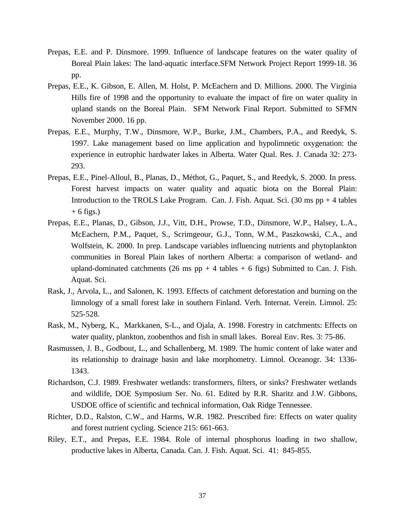- Prepas, E.E. and P. Dinsmore. 1999. Influence of landscape features on the water quality of Boreal Plain lakes: The land-aquatic interface.SFM Network Project Report 1999-18. 36 pp.
- Prepas, E.E., K. Gibson, E. Allen, M. Holst, P. McEachern and D. Millions. 2000. The Virginia Hills fire of 1998 and the opportunity to evaluate the impact of fire on water quality in upland stands on the Boreal Plain. SFM Network Final Report. Submitted to SFMN November 2000. 16 pp.
- Prepas, E.E., Murphy, T.W., Dinsmore, W.P., Burke, J.M., Chambers, P.A., and Reedyk, S. 1997. Lake management based on lime application and hypolimnetic oxygenation: the experience in eutrophic hardwater lakes in Alberta. Water Qual. Res. J. Canada 32: 273- 293.
- Prepas, E.E., Pinel-Alloul, B., Planas, D., Méthot, G., Paquet, S., and Reedyk, S. 2000. In press. Forest harvest impacts on water quality and aquatic biota on the Boreal Plain: Introduction to the TROLS Lake Program. Can. J. Fish. Aquat. Sci.  $(30 \text{ ms pp} + 4 \text{ tables})$  $+ 6$  figs.)
- Prepas, E.E., Planas, D., Gibson, J.J., Vitt, D.H., Prowse, T.D., Dinsmore, W.P., Halsey, L.A., McEachern, P.M., Paquet, S., Scrimgeour, G.J., Tonn, W.M., Paszkowski, C.A., and Wolfstein, K. 2000. In prep. Landscape variables influencing nutrients and phytoplankton communities in Boreal Plain lakes of northern Alberta: a comparison of wetland- and upland-dominated catchments (26 ms  $pp + 4$  tables  $+ 6$  figs) Submitted to Can. J. Fish. Aquat. Sci.
- Rask, J., Arvola, L., and Salonen, K. 1993. Effects of catchment deforestation and burning on the limnology of a small forest lake in southern Finland. Verh. Internat. Verein. Limnol. 25: 525-528.
- Rask, M., Nyberg, K., Markkanen, S-L., and Ojala, A. 1998. Forestry in catchments: Effects on water quality, plankton, zoobenthos and fish in small lakes. Boreal Env. Res. 3: 75-86.
- Rasmussen, J. B., Godbout, L., and Schallenberg, M. 1989. The humic content of lake water and its relationship to drainage basin and lake morphometry. Limnol. Oceanogr. 34: 1336- 1343.
- Richardson, C.J. 1989. Freshwater wetlands: transformers, filters, or sinks? Freshwater wetlands and wildlife, DOE Symposium Ser. No. 61. Edited by R.R. Sharitz and J.W. Gibbons, USDOE office of scientific and technical information, Oak Ridge Tennessee.
- Richter, D.D., Ralston, C.W., and Harms, W.R. 1982. Prescribed fire: Effects on water quality and forest nutrient cycling. Science 215: 661-663.
- Riley, E.T., and Prepas, E.E. 1984. Role of internal phosphorus loading in two shallow, productive lakes in Alberta, Canada. Can. J. Fish. Aquat. Sci. 41: 845-855.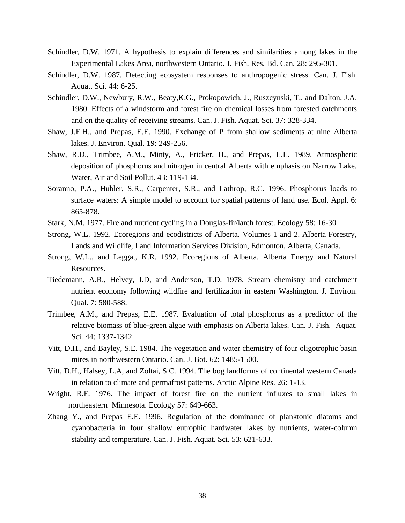- Schindler, D.W. 1971. A hypothesis to explain differences and similarities among lakes in the Experimental Lakes Area, northwestern Ontario. J. Fish. Res. Bd. Can. 28: 295-301.
- Schindler, D.W. 1987. Detecting ecosystem responses to anthropogenic stress. Can. J. Fish. Aquat. Sci. 44: 6-25.
- Schindler, D.W., Newbury, R.W., Beaty,K.G., Prokopowich, J., Ruszcynski, T., and Dalton, J.A. 1980. Effects of a windstorm and forest fire on chemical losses from forested catchments and on the quality of receiving streams. Can. J. Fish. Aquat. Sci. 37: 328-334.
- Shaw, J.F.H., and Prepas, E.E. 1990. Exchange of P from shallow sediments at nine Alberta lakes. J. Environ. Qual. 19: 249-256.
- Shaw, R.D., Trimbee, A.M., Minty, A., Fricker, H., and Prepas, E.E. 1989. Atmospheric deposition of phosphorus and nitrogen in central Alberta with emphasis on Narrow Lake. Water, Air and Soil Pollut. 43: 119-134.
- Soranno, P.A., Hubler, S.R., Carpenter, S.R., and Lathrop, R.C. 1996. Phosphorus loads to surface waters: A simple model to account for spatial patterns of land use. Ecol. Appl. 6: 865-878.
- Stark, N.M. 1977. Fire and nutrient cycling in a Douglas-fir/larch forest. Ecology 58: 16-30
- Strong, W.L. 1992. Ecoregions and ecodistricts of Alberta. Volumes 1 and 2. Alberta Forestry, Lands and Wildlife, Land Information Services Division, Edmonton, Alberta, Canada.
- Strong, W.L., and Leggat, K.R. 1992. Ecoregions of Alberta. Alberta Energy and Natural Resources.
- Tiedemann, A.R., Helvey, J.D, and Anderson, T.D. 1978. Stream chemistry and catchment nutrient economy following wildfire and fertilization in eastern Washington. J. Environ. Qual. 7: 580-588.
- Trimbee, A.M., and Prepas, E.E. 1987. Evaluation of total phosphorus as a predictor of the relative biomass of blue-green algae with emphasis on Alberta lakes. Can. J. Fish. Aquat. Sci. 44: 1337-1342.
- Vitt, D.H., and Bayley, S.E. 1984. The vegetation and water chemistry of four oligotrophic basin mires in northwestern Ontario. Can. J. Bot. 62: 1485-1500.
- Vitt, D.H., Halsey, L.A, and Zoltai, S.C. 1994. The bog landforms of continental western Canada in relation to climate and permafrost patterns. Arctic Alpine Res. 26: 1-13.
- Wright, R.F. 1976. The impact of forest fire on the nutrient influxes to small lakes in northeastern Minnesota. Ecology 57: 649-663.
- Zhang Y., and Prepas E.E. 1996. Regulation of the dominance of planktonic diatoms and cyanobacteria in four shallow eutrophic hardwater lakes by nutrients, water-column stability and temperature. Can. J. Fish. Aquat. Sci. 53: 621-633.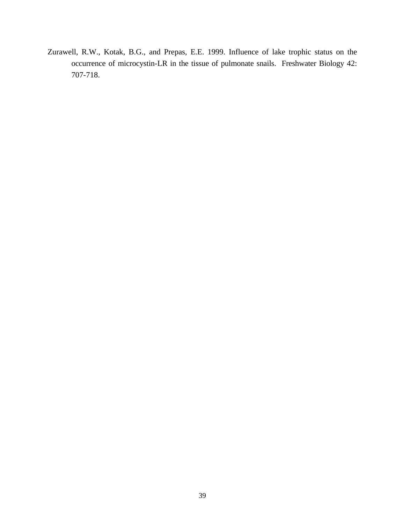Zurawell, R.W., Kotak, B.G., and Prepas, E.E. 1999. Influence of lake trophic status on the occurrence of microcystin-LR in the tissue of pulmonate snails. Freshwater Biology 42: 707-718.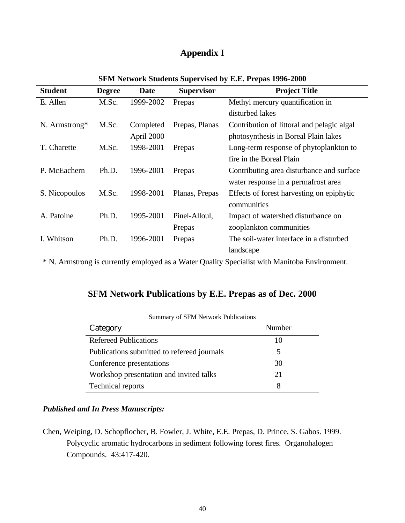## **Appendix I**

| <b>Student</b> | <b>Degree</b> | <b>Date</b> | <b>Supervisor</b> | <b>Project Title</b>                       |
|----------------|---------------|-------------|-------------------|--------------------------------------------|
| E. Allen       | M.Sc.         | 1999-2002   | Prepas            | Methyl mercury quantification in           |
|                |               |             |                   | disturbed lakes                            |
| N. Armstrong*  | M.Sc.         | Completed   | Prepas, Planas    | Contribution of littoral and pelagic algal |
|                |               | April 2000  |                   | photosynthesis in Boreal Plain lakes       |
| T. Charette    | M.Sc.         | 1998-2001   | Prepas            | Long-term response of phytoplankton to     |
|                |               |             |                   | fire in the Boreal Plain                   |
| P. McEachern   | Ph.D.         | 1996-2001   | Prepas            | Contributing area disturbance and surface  |
|                |               |             |                   | water response in a permafrost area        |
| S. Nicopoulos  | M.Sc.         | 1998-2001   | Planas, Prepas    | Effects of forest harvesting on epiphytic  |
|                |               |             |                   | communities                                |
| A. Patoine     | Ph.D.         | 1995-2001   | Pinel-Alloul,     | Impact of watershed disturbance on         |
|                |               |             | Prepas            | zooplankton communities                    |
| I. Whitson     | Ph.D.         | 1996-2001   | Prepas            | The soil-water interface in a disturbed    |
|                |               |             |                   | landscape                                  |

#### **SFM Network Students Supervised by E.E. Prepas 1996-2000**

\* N. Armstrong is currently employed as a Water Quality Specialist with Manitoba Environment.

## **SFM Network Publications by E.E. Prepas as of Dec. 2000**

| Category                                    | Number |
|---------------------------------------------|--------|
| <b>Refereed Publications</b>                | 10     |
| Publications submitted to refereed journals | 5      |
| Conference presentations                    | 30     |
| Workshop presentation and invited talks     | 21     |
| Technical reports                           | 8      |

| <b>Summary of SFM Network Publications</b> |  |  |  |  |
|--------------------------------------------|--|--|--|--|
|--------------------------------------------|--|--|--|--|

### *Published and In Press Manuscripts:*

Chen, Weiping, D. Schopflocher, B. Fowler, J. White, E.E. Prepas, D. Prince, S. Gabos. 1999. Polycyclic aromatic hydrocarbons in sediment following forest fires. Organohalogen Compounds. 43:417-420.